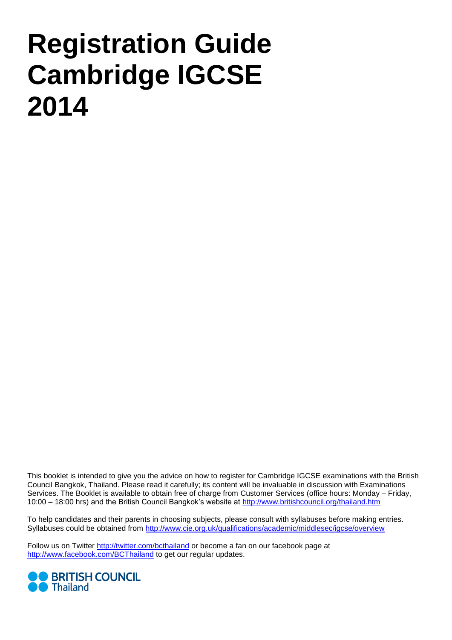# **Registration Guide Cambridge IGCSE 2014**

This booklet is intended to give you the advice on how to register for Cambridge IGCSE examinations with the British Council Bangkok, Thailand. Please read it carefully; its content will be invaluable in discussion with Examinations Services. The Booklet is available to obtain free of charge from Customer Services (office hours: Monday – Friday, 10:00 – 18:00 hrs) and the British Council Bangkok's website at<http://www.britishcouncil.org/thailand.htm>

To help candidates and their parents in choosing subjects, please consult with syllabuses before making entries. Syllabuses could be obtained from<http://www.cie.org.uk/qualifications/academic/middlesec/igcse/overview>

Follow us on Twitter<http://twitter.com/bcthailand> or become a fan on our facebook page at <http://www.facebook.com/BCThailand> to get our regular updates.

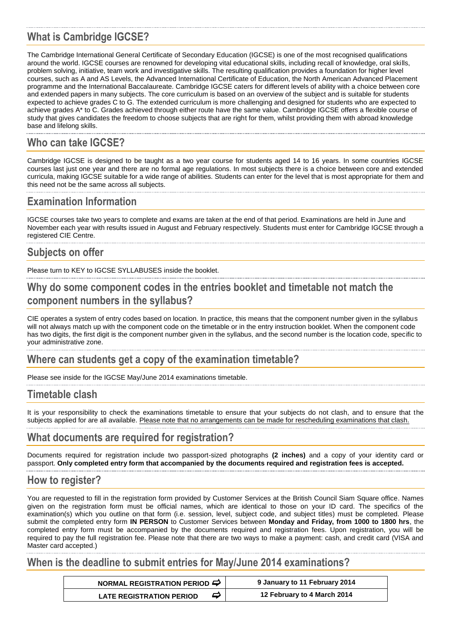# **What is Cambridge IGCSE?**

The Cambridge International General Certificate of Secondary Education (IGCSE) is one of the most recognised qualifications around the world. IGCSE courses are renowned for developing vital educational skills, including recall of knowledge, oral skills, problem solving, initiative, team work and investigative skills. The resulting qualification provides a foundation for higher level courses, such as A and AS Levels, the Advanced International Certificate of Education, the North American Advanced Placement programme and the International Baccalaureate. Cambridge IGCSE caters for different levels of ability with a choice between core and extended papers in many subjects. The core curriculum is based on an overview of the subject and is suitable for students expected to achieve grades C to G. The extended curriculum is more challenging and designed for students who are expected to achieve grades A\* to C. Grades achieved through either route have the same value. Cambridge IGCSE offers a flexible course of study that gives candidates the freedom to choose subjects that are right for them, whilst providing them with abroad knowledge base and lifelong skills.

# **Who can take IGCSE?**

Cambridge IGCSE is designed to be taught as a two year course for students aged 14 to 16 years. In some countries IGCSE courses last just one year and there are no formal age regulations. In most subjects there is a choice between core and extended curricula, making IGCSE suitable for a wide range of abilities. Students can enter for the level that is most appropriate for them and this need not be the same across all subjects.

# **Examination Information**

IGCSE courses take two years to complete and exams are taken at the end of that period. Examinations are held in June and November each year with results issued in August and February respectively. Students must enter for Cambridge IGCSE through a registered CIE Centre.

# **Subjects on offer**

Please turn to KEY to IGCSE SYLLABUSES inside the booklet.

# **Why do some component codes in the entries booklet and timetable not match the component numbers in the syllabus?**

CIE operates a system of entry codes based on location. In practice, this means that the component number given in the syllabus will not always match up with the component code on the timetable or in the entry instruction booklet. When the component code has two digits, the first digit is the component number given in the syllabus, and the second number is the location code, specific to your administrative zone.

# **Where can students get a copy of the examination timetable?**

Please see inside for the IGCSE May/June 2014 examinations timetable.

# **Timetable clash**

It is your responsibility to check the examinations timetable to ensure that your subjects do not clash, and to ensure that the subjects applied for are all available. Please note that no arrangements can be made for rescheduling examinations that clash.

# **What documents are required for registration?**

Documents required for registration include two passport-sized photographs **(2 inches)** and a copy of your identity card or passport. **Only completed entry form that accompanied by the documents required and registration fees is accepted.**

# **How to register?**

You are requested to fill in the registration form provided by Customer Services at the British Council Siam Square office. Names given on the registration form must be official names, which are identical to those on your ID card. The specifics of the examination(s) which you outline on that form (i.e. session, level, subject code, and subject titles) must be completed. Please submit the completed entry form **IN PERSON** to Customer Services between **Monday and Friday, from 1000 to 1800 hrs**, the completed entry form must be accompanied by the documents required and registration fees. Upon registration, you will be required to pay the full registration fee. Please note that there are two ways to make a payment: cash, and credit card (VISA and Master card accepted.)

# **When is the deadline to submit entries for May/June 2014 examinations?**

|                                 | NORMAL REGISTRATION PERIOD $\Rightarrow$ |                             |  |  |
|---------------------------------|------------------------------------------|-----------------------------|--|--|
| <b>LATE REGISTRATION PERIOD</b> | ⋻                                        | 12 February to 4 March 2014 |  |  |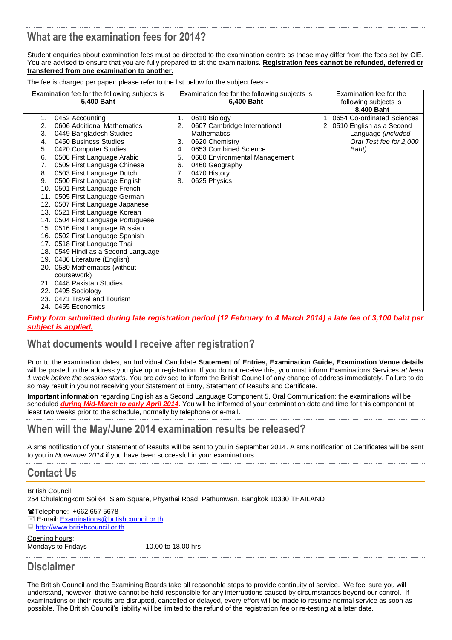# **What are the examination fees for 2014?**

Student enquiries about examination fees must be directed to the examination centre as these may differ from the fees set by CIE. You are advised to ensure that you are fully prepared to sit the examinations. **Registration fees cannot be refunded, deferred or transferred from one examination to another.**

The fee is charged per paper; please refer to the list below for the subject fees:-

| Examination fee for the following subjects is<br>5,400 Baht                                                                                                                                                                                                                                                                                                                                                                                                                                                                                                                                                                                                                                                                                                                                                                         | Examination fee for the following subjects is<br>6,400 Baht                                                                                                                                                                                      | Examination fee for the<br>following subjects is<br>8,400 Baht                                                         |  |  |  |
|-------------------------------------------------------------------------------------------------------------------------------------------------------------------------------------------------------------------------------------------------------------------------------------------------------------------------------------------------------------------------------------------------------------------------------------------------------------------------------------------------------------------------------------------------------------------------------------------------------------------------------------------------------------------------------------------------------------------------------------------------------------------------------------------------------------------------------------|--------------------------------------------------------------------------------------------------------------------------------------------------------------------------------------------------------------------------------------------------|------------------------------------------------------------------------------------------------------------------------|--|--|--|
| 0452 Accounting<br>1.<br>2.<br>0606 Additional Mathematics<br>3.<br>0449 Bangladesh Studies<br>0450 Business Studies<br>4.<br>5.<br>0420 Computer Studies<br>6.<br>0508 First Language Arabic<br>0509 First Language Chinese<br>7.<br>0503 First Language Dutch<br>8.<br>0500 First Language English<br>9.<br>10. 0501 First Language French<br>11. 0505 First Language German<br>12. 0507 First Language Japanese<br>13. 0521 First Language Korean<br>14. 0504 First Language Portuguese<br>15. 0516 First Language Russian<br>16. 0502 First Language Spanish<br>17. 0518 First Language Thai<br>18. 0549 Hindi as a Second Language<br>19. 0486 Literature (English)<br>20. 0580 Mathematics (without<br>coursework)<br>21. 0448 Pakistan Studies<br>0495 Sociology<br>22.<br>23. 0471 Travel and Tourism<br>24. 0455 Economics | 1.<br>0610 Biology<br>0607 Cambridge International<br>2.<br><b>Mathematics</b><br>0620 Chemistry<br>3.<br>0653 Combined Science<br>4.<br>5.<br>0680 Environmental Management<br>0460 Geography<br>6.<br>7.<br>0470 History<br>0625 Physics<br>8. | 1. 0654 Co-ordinated Sciences<br>2. 0510 English as a Second<br>Language (included<br>Oral Test fee for 2,000<br>Baht) |  |  |  |

*Entry form submitted during late registration period (12 February to 4 March 2014) a late fee of 3,100 baht per subject is applied.*

# **What documents would I receive after registration?**

Prior to the examination dates, an Individual Candidate **Statement of Entries, Examination Guide, Examination Venue details** will be posted to the address you give upon registration. If you do not receive this, you must inform Examinations Services *at least 1 week before the session starts*. You are advised to inform the British Council of any change of address immediately. Failure to do so may result in you not receiving your Statement of Entry, Statement of Results and Certificate.

**Important information** regarding English as a Second Language Component 5, Oral Communication: the examinations will be scheduled *during Mid-March to early April 2014***.** You will be informed of your examination date and time for this component at least two weeks prior to the schedule, normally by telephone or e-mail.

# **When will the May/June 2014 examination results be released?**

A sms notification of your Statement of Results will be sent to you in September 2014. A sms notification of Certificates will be sent to you in *November 2014* if you have been successful in your examinations.

# **Contact Us**

British Council 254 Chulalongkorn Soi 64, Siam Square, Phyathai Road, Pathumwan, Bangkok 10330 THAILAND

Telephone: +662 657 5678 E E-mail: [Examinations@britishcouncil.or.th](mailto:Examinations@britishcouncil.or.th) ■ [http://www.britishcouncil.or.th](http://www.britishcouncil.or.th/)

Opening hours: Mondays to Fridays 10.00 to 18.00 hrs

**Disclaimer**

The British Council and the Examining Boards take all reasonable steps to provide continuity of service. We feel sure you will understand, however, that we cannot be held responsible for any interruptions caused by circumstances beyond our control. If examinations or their results are disrupted, cancelled or delayed, every effort will be made to resume normal service as soon as possible. The British Council's liability will be limited to the refund of the registration fee or re-testing at a later date.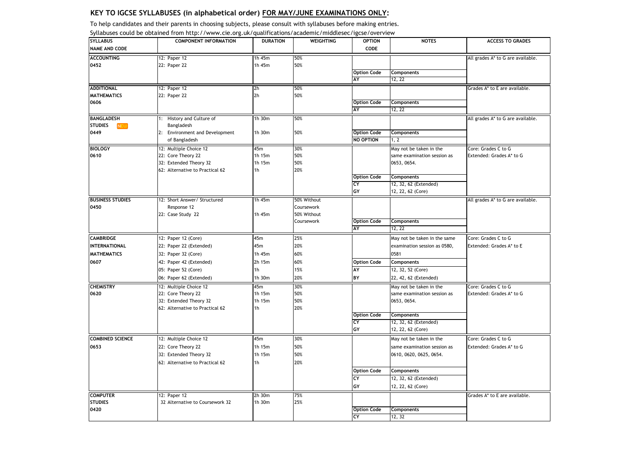To help candidates and their parents in choosing subjects, please consult with syllabuses before making entries.

| <b>SYLLABUS</b>              | <b>COMPONENT INFORMATION</b>             | <b>DURATION</b> | <b>WEIGHTING</b> | <b>OPTION</b>            | <b>NOTES</b>                 | <b>ACCESS TO GRADES</b>           |
|------------------------------|------------------------------------------|-----------------|------------------|--------------------------|------------------------------|-----------------------------------|
| <b>NAME AND CODE</b>         |                                          |                 |                  | CODE                     |                              |                                   |
| <b>ACCOUNTING</b>            | 12: Paper 12                             | 1h 45m          | 50%              |                          |                              | All grades A* to G are available. |
| 0452                         | 22: Paper 22                             | 1h 45m          | 50%              |                          |                              |                                   |
|                              |                                          |                 |                  | <b>Option Code</b>       | <b>Components</b>            |                                   |
|                              |                                          |                 |                  | AY                       | 12, 22                       |                                   |
| <b>ADDITIONAL</b>            | 12: Paper 12                             | 2h              | 50%              |                          |                              | Grades A* to E are available.     |
| <b>MATHEMATICS</b>           | 22: Paper 22                             | 2 <sub>h</sub>  | 50%              |                          |                              |                                   |
| 0606                         |                                          |                 |                  | <b>Option Code</b>       | <b>Components</b>            |                                   |
|                              |                                          |                 |                  | AY                       | 12, 22                       |                                   |
| <b>BANGLADESH</b>            | 1: History and Culture of                | 1h 30m          | 50%              |                          |                              | All grades A* to G are available. |
| <b>STUDIES</b><br><b>NEW</b> | Bangladesh                               |                 |                  |                          |                              |                                   |
| 0449                         | <b>Environment and Development</b><br>2: | 1h 30m          | 50%              | <b>Option Code</b>       | Components                   |                                   |
|                              | of Bangladesh                            |                 |                  | <b>NO OPTION</b>         | 1, 2                         |                                   |
| <b>BIOLOGY</b>               | 12: Multiple Choice 12                   | 45m             | 30%              |                          | May not be taken in the      | Core: Grades C to G               |
| 0610                         | 22: Core Theory 22                       | 1h 15m          | 50%              |                          | same examination session as  | Extended: Grades A* to G          |
|                              | 32: Extended Theory 32                   | 1h 15m          | 50%              |                          | 0653, 0654.                  |                                   |
|                              | 62: Alternative to Practical 62          | 1 <sub>h</sub>  | 20%              |                          |                              |                                   |
|                              |                                          |                 |                  | <b>Option Code</b>       | <b>Components</b>            |                                   |
|                              |                                          |                 |                  | CY                       | 12, 32, 62 (Extended)        |                                   |
|                              |                                          |                 |                  | GY                       | 12, 22, 62 (Core)            |                                   |
| <b>BUSINESS STUDIES</b>      | 12: Short Answer/ Structured             | 1h $45m$        | 50% Without      |                          |                              | All grades A* to G are available. |
| 0450                         | Response 12                              |                 | Coursework       |                          |                              |                                   |
|                              | 22: Case Study 22                        | 1h 45m          | 50% Without      |                          |                              |                                   |
|                              |                                          |                 | Coursework       | <b>Option Code</b><br>AY | <b>Components</b><br>12, 22  |                                   |
|                              |                                          |                 |                  |                          |                              |                                   |
| <b>CAMBRIDGE</b>             | 12: Paper 12 (Core)                      | 45m             | 25%              |                          | May not be taken in the same | Core: Grades C to G               |
| <b>INTERNATIONAL</b>         | 22: Paper 22 (Extended)                  | 45m             | 20%              |                          | examination session as 0580, | Extended: Grades A* to E          |
| <b>MATHEMATICS</b>           | 32: Paper 32 (Core)                      | 1h 45m          | 60%              |                          | 0581                         |                                   |
| 0607                         | 42: Paper 42 (Extended)                  | 2h 15m          | 60%              | <b>Option Code</b>       | Components                   |                                   |
|                              | 05: Paper 52 (Core)                      | 1 <sub>h</sub>  | 15%              | AY                       | 12, 32, 52 (Core)            |                                   |
|                              | 06: Paper 62 (Extended)                  | 1h 30m          | 20%              | BY                       | 22, 42, 62 (Extended)        |                                   |
| <b>CHEMISTRY</b>             | 12: Multiple Choice 12                   | 45m             | 30%              |                          | May not be taken in the      | Core: Grades C to G               |
| 0620                         | 22: Core Theory 22                       | 1h 15m          | 50%              |                          | same examination session as  | Extended: Grades A* to G          |
|                              | 32: Extended Theory 32                   | 1h 15m          | 50%              |                          | 0653, 0654.                  |                                   |
|                              | 62: Alternative to Practical 62          | 1 <sub>h</sub>  | 20%              |                          |                              |                                   |
|                              |                                          |                 |                  | <b>Option Code</b>       | <b>Components</b>            |                                   |
|                              |                                          |                 |                  | CY<br>GY                 | 12, 32, 62 (Extended)        |                                   |
|                              |                                          |                 |                  |                          | 12, 22, 62 (Core)            |                                   |
| <b>COMBINED SCIENCE</b>      | 12: Multiple Choice 12                   | 45m             | 30%              |                          | May not be taken in the      | Core: Grades C to G               |
| 0653                         | 22: Core Theory 22                       | 1h 15m          | 50%              |                          | same examination session as  | Extended: Grades A* to G          |
|                              | 32: Extended Theory 32                   | 1h 15m          | 50%              |                          | 0610, 0620, 0625, 0654.      |                                   |
|                              | 62: Alternative to Practical 62          | 1 <sub>h</sub>  | 20%              |                          |                              |                                   |
|                              |                                          |                 |                  | <b>Option Code</b>       | Components                   |                                   |
|                              |                                          |                 |                  | CY                       | 12, 32, 62 (Extended)        |                                   |
|                              |                                          |                 |                  | GY                       | 12, 22, 62 (Core)            |                                   |
| <b>COMPUTER</b>              | 12: Paper 12                             | 2h 30m          | 75%              |                          |                              | Grades A* to E are available.     |
| <b>STUDIES</b>               | 32 Alternative to Coursework 32          | 1h 30m          | 25%              |                          |                              |                                   |
| 0420                         |                                          |                 |                  | <b>Option Code</b>       | <b>Components</b>            |                                   |
|                              |                                          |                 |                  | CY                       | 12, 32                       |                                   |

Syllabuses could be obtained from http://www.cie.org.uk/qualifications/academic/middlesec/igcse/overview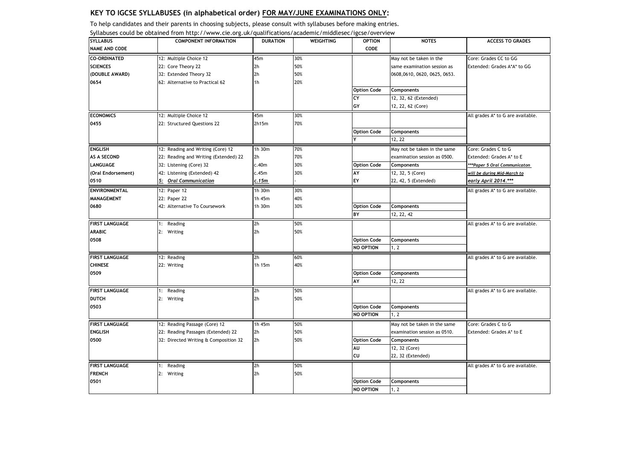To help candidates and their parents in choosing subjects, please consult with syllabuses before making entries.

|                       | Syllabuses could be obtained from http://www.cie.org.uk/qualifications/academic/middlesec/igcse/overview |                 |                  |                    |                              |                                   |
|-----------------------|----------------------------------------------------------------------------------------------------------|-----------------|------------------|--------------------|------------------------------|-----------------------------------|
| <b>SYLLABUS</b>       | <b>COMPONENT INFORMATION</b>                                                                             | <b>DURATION</b> | <b>WEIGHTING</b> | <b>OPTION</b>      | <b>NOTES</b>                 | <b>ACCESS TO GRADES</b>           |
| <b>NAME AND CODE</b>  |                                                                                                          |                 |                  | CODE               |                              |                                   |
| <b>CO-ORDINATED</b>   | 12: Multiple Choice 12                                                                                   | 45m             | 30%              |                    | May not be taken in the      | Core: Grades CC to GG             |
| <b>SCIENCES</b>       | 22: Core Theory 22                                                                                       | 2h              | 50%              |                    | same examination session as  | Extended: Grades A*A* to GG       |
| (DOUBLE AWARD)        | 32: Extended Theory 32                                                                                   | 2h              | 50%              |                    | 0608,0610, 0620, 0625, 0653. |                                   |
| 0654                  | 62: Alternative to Practical 62                                                                          | 1h              | 20%              |                    |                              |                                   |
|                       |                                                                                                          |                 |                  | <b>Option Code</b> | Components                   |                                   |
|                       |                                                                                                          |                 |                  | CY                 | 12, 32, 62 (Extended)        |                                   |
|                       |                                                                                                          |                 |                  | GY                 | 12, 22, 62 (Core)            |                                   |
| <b>ECONOMICS</b>      | 12: Multiple Choice 12                                                                                   | 45m             | 30%              |                    |                              | All grades A* to G are available. |
| 0455                  | 22: Structured Questions 22                                                                              | 2h15m           | 70%              |                    |                              |                                   |
|                       |                                                                                                          |                 |                  | <b>Option Code</b> | Components                   |                                   |
|                       |                                                                                                          |                 |                  |                    | 12, 22                       |                                   |
| <b>ENGLISH</b>        | 12: Reading and Writing (Core) 12                                                                        | 1h 30m          | 70%              |                    | May not be taken in the same | Core: Grades C to G               |
| AS A SECOND           | 22: Reading and Writing (Extended) 22                                                                    | 2h              | 70%              |                    | examination session as 0500. | Extended: Grades A* to E          |
| <b>LANGUAGE</b>       | 32: Listening (Core) 32                                                                                  | c.40m           | 30%              | <b>Option Code</b> | Components                   | ***Paper 5 Oral Communicaton      |
| (Oral Endorsement)    | 42: Listening (Extended) 42                                                                              | c.45m           | 30%              | AY                 | 12, 32, 5 (Core)             | will be during Mid-March to       |
| 0510                  | 5: Oral Communication                                                                                    | c.15m           |                  | EY                 | 22, 42, 5 (Extended)         | early April 2014.***              |
|                       |                                                                                                          |                 |                  |                    |                              |                                   |
| ENVIRONMENTAL         | 12: Paper 12                                                                                             | 1h 30m          | 30%              |                    |                              | All grades A* to G are available. |
| MANAGEMENT            | 22: Paper 22                                                                                             | 1h 45m          | 40%              |                    |                              |                                   |
| 0680                  | 42: Alternative To Coursework                                                                            | 1h 30m          | 30%              | <b>Option Code</b> | Components                   |                                   |
|                       |                                                                                                          |                 |                  | BY                 | 12, 22, 42                   |                                   |
| <b>FIRST LANGUAGE</b> | 1: Reading                                                                                               | 2h              | 50%              |                    |                              | All grades A* to G are available. |
| <b>ARABIC</b>         | 2: Writing                                                                                               | 2h              | 50%              |                    |                              |                                   |
| 0508                  |                                                                                                          |                 |                  | <b>Option Code</b> | Components                   |                                   |
|                       |                                                                                                          |                 |                  | NO OPTION          | 1, 2                         |                                   |
| <b>FIRST LANGUAGE</b> | 12: Reading                                                                                              | 2h              | 60%              |                    |                              | All grades A* to G are available. |
| <b>CHINESE</b>        | 22: Writing                                                                                              | 1h 15m          | 40%              |                    |                              |                                   |
| 0509                  |                                                                                                          |                 |                  | <b>Option Code</b> | Components                   |                                   |
|                       |                                                                                                          |                 |                  | AY                 | 12, 22                       |                                   |
| <b>FIRST LANGUAGE</b> | 1: Reading                                                                                               | 2h              | 50%              |                    |                              | All grades A* to G are available. |
| <b>DUTCH</b>          | 2: Writing                                                                                               | 2h              | 50%              |                    |                              |                                   |
| 0503                  |                                                                                                          |                 |                  | <b>Option Code</b> | Components                   |                                   |
|                       |                                                                                                          |                 |                  | NO OPTION          | 1.2                          |                                   |
|                       |                                                                                                          |                 |                  |                    |                              |                                   |
| <b>FIRST LANGUAGE</b> | 12: Reading Passage (Core) 12                                                                            | 1h 45m          | 50%              |                    | May not be taken in the same | Core: Grades C to G               |
| <b>ENGLISH</b>        | 22: Reading Passages (Extended) 22                                                                       | 2h              | 50%              |                    | examination session as 0510. | Extended: Grades A* to E          |
| 0500                  | 32: Directed Writing & Composition 32                                                                    | 2 <sub>h</sub>  | 50%              | <b>Option Code</b> | Components                   |                                   |
|                       |                                                                                                          |                 |                  | AU                 | 12, 32 (Core)                |                                   |
|                       |                                                                                                          |                 |                  | CU                 | 22, 32 (Extended)            |                                   |
| <b>FIRST LANGUAGE</b> | 1: Reading                                                                                               | 2h              | 50%              |                    |                              | All grades A* to G are available. |
| <b>FRENCH</b>         | 2: Writing                                                                                               | 2h              | 50%              |                    |                              |                                   |
| 0501                  |                                                                                                          |                 |                  | <b>Option Code</b> | Components                   |                                   |
|                       |                                                                                                          |                 |                  | NO OPTION          | 1, 2                         |                                   |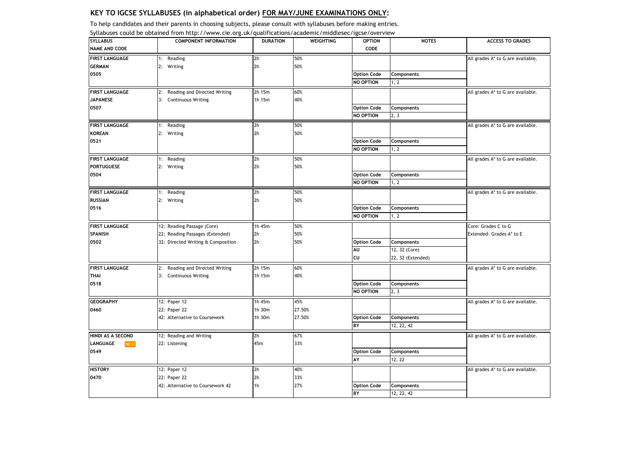To help candidates and their parents in choosing subjects, please consult with syllabuses before making entries.

| <b>SYLLABUS</b>               | <b>COMPONENT INFORMATION</b>       | <b>DURATION</b> | <b>WEIGHTING</b> | <b>OPTION</b>      | <b>NOTES</b>      | <b>ACCESS TO GRADES</b>           |
|-------------------------------|------------------------------------|-----------------|------------------|--------------------|-------------------|-----------------------------------|
| <b>NAME AND CODE</b>          |                                    |                 |                  | CODE               |                   |                                   |
| <b>FIRST LANGUAGE</b>         | 1: Reading                         | 2h              | 50%              |                    |                   | All grades A* to G are available. |
| <b>GERMAN</b>                 | 2: Writing                         | 2h              | 50%              |                    |                   |                                   |
| 0505                          |                                    |                 |                  | <b>Option Code</b> | Components        |                                   |
|                               |                                    |                 |                  | NO OPTION          | 1, 2              |                                   |
| <b>FIRST LANGUAGE</b>         | 2: Reading and Directed Writing    | 2h 15m          | 60%              |                    |                   | All grades A* to G are available. |
| <b>JAPANESE</b>               | 3: Continuous Writing              | 1h 15m          | 40%              |                    |                   |                                   |
| 0507                          |                                    |                 |                  | <b>Option Code</b> | Components        |                                   |
|                               |                                    |                 |                  | NO OPTION          | 2, 3              |                                   |
| <b>FIRST LANGUAGE</b>         | 1: Reading                         | 2h              | 50%              |                    |                   | All grades A* to G are available. |
| <b>KOREAN</b>                 | 2: Writing                         | 2 <sub>h</sub>  | 50%              |                    |                   |                                   |
| 0521                          |                                    |                 |                  | <b>Option Code</b> | Components        |                                   |
|                               |                                    |                 |                  | NO OPTION          | 1, 2              |                                   |
| <b>FIRST LANGUAGE</b>         | 1: Reading                         | 2 <sub>h</sub>  | 50%              |                    |                   | All grades A* to G are available. |
| <b>PORTUGUESE</b>             | 2: Writing                         | 2h              | 50%              |                    |                   |                                   |
| 0504                          |                                    |                 |                  | <b>Option Code</b> | Components        |                                   |
|                               |                                    |                 |                  | NO OPTION          | 1, 2              |                                   |
| <b>FIRST LANGUAGE</b>         | 1: Reading                         | 2h              | 50%              |                    |                   | All grades A* to G are available. |
| <b>RUSSIAN</b>                | 2: Writing                         | 2h              | 50%              |                    |                   |                                   |
| 0516                          |                                    |                 |                  | <b>Option Code</b> | Components        |                                   |
|                               |                                    |                 |                  | NO OPTION          | 1, 2              |                                   |
| <b>FIRST LANGUAGE</b>         | 12: Reading Passage (Core)         | 1h 45m          | 50%              |                    |                   | Core: Grades C to G               |
| SPANISH                       | 22: Reading Passages (Extended)    | 2h              | 50%              |                    |                   | Extended: Grades A* to E          |
| 0502                          | 32: Directed Writing & Composition | 2 <sub>h</sub>  | 50%              | <b>Option Code</b> | Components        |                                   |
|                               |                                    |                 |                  | AU                 | 12, 32 (Core)     |                                   |
|                               |                                    |                 |                  | CU                 | 22, 32 (Extended) |                                   |
| <b>FIRST LANGUAGE</b>         | 2: Reading and Directed Writing    | 2h 15m          | 60%              |                    |                   | All grades A* to G are available. |
| THAI                          | 3: Continuous Writing              | 1h 15m          | 40%              |                    |                   |                                   |
| 0518                          |                                    |                 |                  | <b>Option Code</b> | Components        |                                   |
|                               |                                    |                 |                  | NO OPTION          | 2, 3              |                                   |
| <b>GEOGRAPHY</b>              | 12: Paper 12                       | 1h 45m          | 45%              |                    |                   | All grades A* to G are available. |
| 0460                          | 22: Paper 22                       | 1h 30m          | 27.50%           |                    |                   |                                   |
|                               | 42: Alternative to Coursework      | 1h 30m          | 27.50%           | <b>Option Code</b> | Components        |                                   |
|                               |                                    |                 |                  | BY                 | 12, 22, 42        |                                   |
| HINDI AS A SECOND             | 12: Reading and Writing            | 2h              | 67%              |                    |                   | All grades A* to G are available. |
| <b>LANGUAGE</b><br><b>NEW</b> | 22: Listening                      | 45m             | 33%              |                    |                   |                                   |
| 0549                          |                                    |                 |                  | <b>Option Code</b> | Components        |                                   |
|                               |                                    |                 |                  | AY                 | 12, 22            |                                   |
| <b>HISTORY</b>                | 12: Paper 12                       | 2h              | 40%              |                    |                   | All grades A* to G are available. |
| 0470                          | 22: Paper 22                       | 2h              | 33%              |                    |                   |                                   |
|                               | 42: Alternative to Coursework 42   | 1h              | 27%              | <b>Option Code</b> | Components        |                                   |
|                               |                                    |                 |                  | BY                 | 12, 22, 42        |                                   |

Syllabuses could be obtained from http://www.cie.org.uk/qualifications/academic/middlesec/igcse/overview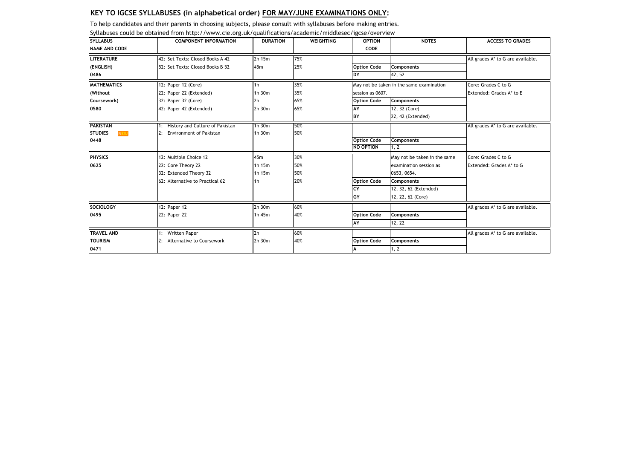|                              | Syllabuses could be obtained from http://www.cie.org.uk/qualifications/academic/middlesec/igcse/overview |                 |                  |                    |                                          |                                   |
|------------------------------|----------------------------------------------------------------------------------------------------------|-----------------|------------------|--------------------|------------------------------------------|-----------------------------------|
| <b>SYLLABUS</b>              | <b>COMPONENT INFORMATION</b>                                                                             | <b>DURATION</b> | <b>WEIGHTING</b> | <b>OPTION</b>      | <b>NOTES</b>                             | <b>ACCESS TO GRADES</b>           |
| <b>NAME AND CODE</b>         |                                                                                                          |                 |                  | CODE               |                                          |                                   |
| <b>LITERATURE</b>            | 42: Set Texts: Closed Books A 42                                                                         | 2h 15m          | 75%              |                    |                                          | All grades A* to G are available. |
| (ENGLISH)                    | 52: Set Texts: Closed Books B 52                                                                         | 45m             | 25%              | <b>Option Code</b> | Components                               |                                   |
| 0486                         |                                                                                                          |                 |                  | DY                 | 42, 52                                   |                                   |
| <b>MATHEMATICS</b>           | 12: Paper 12 (Core)                                                                                      | 1 <sub>h</sub>  | 35%              |                    | May not be taken in the same examination | Core: Grades C to G               |
| (Without                     | 22: Paper 22 (Extended)                                                                                  | 1h 30m          | 35%              | session as 0607.   |                                          | Extended: Grades A* to E          |
| Coursework)                  | 32: Paper 32 (Core)                                                                                      | 2h              | 65%              | <b>Option Code</b> | <b>Components</b>                        |                                   |
| 0580                         | 42: Paper 42 (Extended)                                                                                  | 2h 30m          | 65%              | AY                 | 12, 32 (Core)                            |                                   |
|                              |                                                                                                          |                 |                  | BY                 | 22, 42 (Extended)                        |                                   |
| <b>PAKISTAN</b>              | History and Culture of Pakistan                                                                          | 1h 30m          | 50%              |                    |                                          | All grades A* to G are available. |
| <b>NEW</b><br><b>STUDIES</b> | <b>Environment of Pakistan</b><br>2:                                                                     | 1h 30m          | 50%              |                    |                                          |                                   |
| 0448                         |                                                                                                          |                 |                  | <b>Option Code</b> | Components                               |                                   |
|                              |                                                                                                          |                 |                  | <b>NO OPTION</b>   | 1, 2                                     |                                   |
| <b>PHYSICS</b>               | 12: Multiple Choice 12                                                                                   | 45m             | 30%              |                    | May not be taken in the same             | Core: Grades C to G               |
| 0625                         | 22: Core Theory 22                                                                                       | 1h 15m          | 50%              |                    | examination session as                   | Extended: Grades A* to G          |
|                              | 32: Extended Theory 32                                                                                   | 1h 15m          | 50%              |                    | 0653, 0654.                              |                                   |
|                              | 62: Alternative to Practical 62                                                                          | 1h              | 20%              | <b>Option Code</b> | <b>Components</b>                        |                                   |
|                              |                                                                                                          |                 |                  | CY                 | 12, 32, 62 (Extended)                    |                                   |
|                              |                                                                                                          |                 |                  | GY                 | 12, 22, 62 (Core)                        |                                   |
| <b>SOCIOLOGY</b>             | 12: Paper 12                                                                                             | 2h 30m          | 60%              |                    |                                          | All grades A* to G are available. |
| 0495                         | 22: Paper 22                                                                                             | 1h 45m          | 40%              | <b>Option Code</b> | <b>Components</b>                        |                                   |
|                              |                                                                                                          |                 |                  | AY                 | 12, 22                                   |                                   |
| <b>TRAVEL AND</b>            | <b>Written Paper</b>                                                                                     | 2 <sub>h</sub>  | 60%              |                    |                                          | All grades A* to G are available. |
| <b>TOURISM</b>               | Alternative to Coursework<br>2:                                                                          | 2h 30m          | 40%              | <b>Option Code</b> | Components                               |                                   |
| 0471                         |                                                                                                          |                 |                  | A                  | 1.2                                      |                                   |

To help candidates and their parents in choosing subjects, please consult with syllabuses before making entries.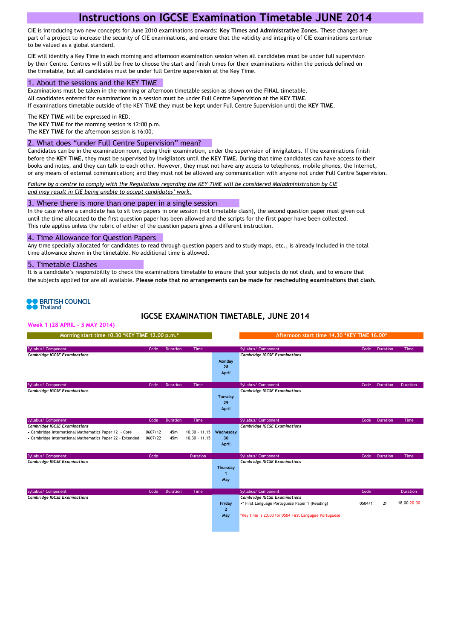# **Instructions on IGCSE Examination Timetable JUNE 2014**

CIE is introducing two new concepts for June 2010 examinations onwards: **Key Times** and **Administrative Zones**. These changes are part of a project to increase the security of CIE examinations, and ensure that the validity and integrity of CIE examinations continue to be valued as a global standard.

CIE will identify a Key Time in each morning and afternoon examination session when all candidates must be under full supervision by their Centre. Centres will still be free to choose the start and finish times for their examinations within the periods defined on the timetable, but all candidates must be under full Centre supervision at the Key Time.

#### 1. About the sessions and the KEY TIME

Examinations must be taken in the morning or afternoon timetable session as shown on the FINAL timetable. All candidates entered for examinations in a session must be under Full Centre Supervision at the **KEY TIME**. If examinations timetable outside of the KEY TIME they must be kept under Full Centre Supervision until the **KEY TIME**.

The **KEY TIME** will be expressed in RED.

The **KEY TIME** for the morning session is 12:00 p.m.

The **KEY TIME** for the afternoon session is 16:00.

#### 2. What does "under Full Centre Supervision" mean?

Candidates can be in the examination room, doing their examination, under the supervision of invigilators. If the examinations finish before the **KEY TIME**, they must be supervised by invigilators until the **KEY TIME**. During that time candidates can have access to their books and notes, and they can talk to each other. However, they must not have any access to telephones, mobile phones, the Internet, or any means of external communication; and they must not be allowed any communication with anyone not under Full Centre Supervision.

*Failure by a centre to comply with the Regulations regarding the KEY TIME will be considered Maladministration by CIE and may result in CIE being unable to accept candidates' work.*

#### 3. Where there is more than one paper in a single session

In the case where a candidate has to sit two papers in one session (not timetable clash), the second question paper must given out until the time allocated to the first question paper has been allowed and the scripts for the first paper have been collected. This rule applies unless the rubric of either of the question papers gives a different instruction.

#### 4. Time Allowance for Question Papers

Any time specially allocated for candidates to read through question papers and to study maps, etc., is already included in the total time allowance shown in the timetable. No additional time is allowed.

#### 5. Timetable Clashes

It is a candidate's responsibility to check the examinations timetable to ensure that your subjects do not clash, and to ensure that the subjects applied for are all available. **Please note that no arrangements can be made for rescheduling examinations that clash.**

# **O** BRITISH COUNCIL

## **IGCSE EXAMINATION TIMETABLE, JUNE 2014**

**Week 1 (28 APRIL - 3 MAY 2014)**

| Morning start time 10.30 *KEY TIME 12.00 p.m.*                                                                                                                                   |                            |                        |                                            |                                 | Afternoon start time 14.30 *KEY TIME 16.00*                                                                                                                           |                |                 |                                |
|----------------------------------------------------------------------------------------------------------------------------------------------------------------------------------|----------------------------|------------------------|--------------------------------------------|---------------------------------|-----------------------------------------------------------------------------------------------------------------------------------------------------------------------|----------------|-----------------|--------------------------------|
| Syllabus/ Component<br><b>Cambridge IGCSE Examinations</b>                                                                                                                       | Code                       | <b>Duration</b>        | Time                                       | Monday<br>28<br>April           | Syllabus/ Component<br><b>Cambridge IGCSE Examinations</b>                                                                                                            | Code           | <b>Duration</b> | Time                           |
| Syllabus/ Component<br><b>Cambridge IGCSE Examinations</b>                                                                                                                       | Code                       | Duration               | Time                                       | Tuesday<br>29<br>April          | Syllabus/ Component<br><b>Cambridge IGCSE Examinations</b>                                                                                                            | Code           | Duration        | Duration                       |
| Syllabus/ Component<br><b>Cambridge IGCSE Examinations</b><br>• Cambridge International Mathematics Paper 12 - Core<br>• Cambridge International Mathematics Paper 22 - Extended | Code<br>0607/12<br>0607/22 | Duration<br>45m<br>45m | Time<br>$10.30 - 11.15$<br>$10.30 - 11.15$ | Wednesday<br>30<br>April        | Syllabus/ Component<br><b>Cambridge IGCSE Examinations</b>                                                                                                            | Code           | Duration        | <b>Time</b>                    |
| Syllabus/ Component<br><b>Cambridge IGCSE Examinations</b>                                                                                                                       | Code                       |                        | <b>Duration</b>                            | Thursday<br>-1<br>May           | Syllabus/ Component<br><b>Cambridge IGCSE Examinations</b>                                                                                                            | Code           | Duration        | Time                           |
| Syllabus/ Component<br><b>Cambridge IGCSE Examinations</b>                                                                                                                       | Code                       | Duration               | Time                                       | Friday<br>$\overline{2}$<br>May | Syllabus/ Component<br><b>Cambridge IGCSE Examinations</b><br>.* First Language Portuguese Paper 1 (Reading)<br>*Key time is 20.00 for 0504 First Langugae Portuguese | Code<br>0504/1 | 2 <sub>h</sub>  | <b>Duration</b><br>18.00-20.00 |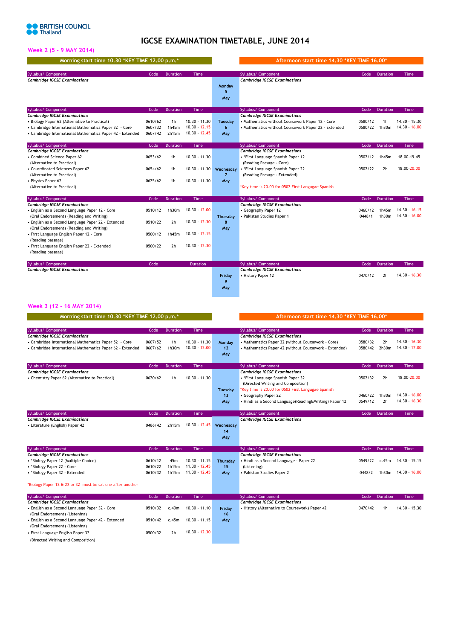## **IGCSE EXAMINATION TIMETABLE, JUNE 2014**

Syllabus/ Code Duration Time Syllabus/ Code Duration Time

## **Week 2 (5 - 9 MAY 2014)**

| Morning start time 10.30 *KEY TIME 12.00 p.m.* |      |          |             |        | Afternoon start time 14.30 *KEY TIME 16.00*' |      |         |
|------------------------------------------------|------|----------|-------------|--------|----------------------------------------------|------|---------|
|                                                |      |          |             |        |                                              |      |         |
| Syllabus/ Component                            | Code | Duration | <b>Time</b> |        | Syllabus/ Component                          | Code | Duratio |
| <b>Cambridge IGCSE Examinations</b>            |      |          |             |        | <b>Cambridge IGCSE Examinations</b>          |      |         |
|                                                |      |          |             | Monday |                                              |      |         |
|                                                |      |          |             |        |                                              |      |         |

| Cambridge IGCSE Examinations                              |         |                 |                 | Monday<br>May  | Cambridge IGCSE Examinations                         |         |                |                 |
|-----------------------------------------------------------|---------|-----------------|-----------------|----------------|------------------------------------------------------|---------|----------------|-----------------|
| Syllabus/ Component                                       | Code    | <b>Duration</b> | Time            |                | Syllabus/ Component                                  | Code    | Duration       | Time            |
| <b>Cambridge IGCSE Examinations</b>                       |         |                 |                 |                | <b>Cambridge IGCSE Examinations</b>                  |         |                |                 |
| • Biology Paper 62 (Alternative to Practical)             | 0610/62 | 1 <sub>h</sub>  | $10.30 - 11.30$ | <b>Tuesdav</b> | • Mathematics without Coursework Paper 12 - Core     | 0580/12 | 1 <sub>h</sub> | $14.30 - 15.30$ |
| • Cambridge International Mathematics Paper 32 - Core     | 0607/32 | 1h45m           | $10.30 - 12.15$ | 6              | • Mathematics without Coursework Paper 22 - Extended | 0580/22 | 1h30m          | $14.30 - 16.00$ |
| • Cambridge International Mathematics Paper 42 - Extended | 0607/42 | 2h15m           | $10.30 - 12.45$ | May            |                                                      |         |                |                 |
| Syllabus/ Component                                       | Code    | <b>Duration</b> | Time            |                | Syllabus/ Component                                  | Code    | Duration       | Time            |
| <b>Cambridge IGCSE Examinations</b>                       |         |                 |                 |                | <b>Cambridge IGCSE Examinations</b>                  |         |                |                 |
| • Combined Science Paper 62                               | 0653/62 | 1 <sub>h</sub>  | $10.30 - 11.30$ |                | • *First Language Spanish Paper 12                   | 0502/12 | 1h45m          | 18.00-19.45     |
| (Alternative to Practical)                                |         |                 |                 |                | (Reading Passage - Core)                             |         |                |                 |
| • Co-ordinated Sciences Paper 62                          | 0654/62 | 1 <sub>h</sub>  | $10.30 - 11.30$ | Wednesdav      | · *First Language Spanish Paper 22                   | 0502/22 | 2 <sub>h</sub> | 18.00-20.00     |
| (Alternative to Practical)                                |         |                 |                 |                | (Reading Passage - Extended)                         |         |                |                 |
| • Physics Paper 62                                        | 0625/62 | 1 <sub>h</sub>  | $10.30 - 11.30$ | May            |                                                      |         |                |                 |
| (Alternative to Practical)                                |         |                 |                 |                | *Key time is 20.00 for 0502 First Langugae Spanish   |         |                |                 |
| Syllabus/ Component                                       | Code    | <b>Duration</b> | Time            |                | Syllabus/ Component                                  | Code    | Duration       | Time            |
| <b>Cambridge IGCSE Examinations</b>                       |         |                 |                 |                | <b>Cambridge IGCSE Examinations</b>                  |         |                |                 |
| • English as a Second Language Paper 12 - Core            | 0510/12 | 1h30m           | $10.30 - 12.00$ |                | • Geography Paper 12                                 | 0460/12 | 1h45m          | $14.30 - 16.15$ |
| (Oral Endorsement) (Reading and Writing)                  |         |                 |                 | Thursday       | • Pakistan Studies Paper 1                           | 0448/1  | 1h30m          | $14.30 - 16.00$ |
| • English as a Second Language Paper 22 - Extended        | 0510/22 | 2 <sub>h</sub>  | $10.30 - 12.30$ | 8              |                                                      |         |                |                 |
| (Oral Endorsement) (Reading and Writing)                  |         |                 |                 | May            |                                                      |         |                |                 |
| • First Language English Paper 12 - Core                  | 0500/12 | 1h45m           | $10.30 - 12.15$ |                |                                                      |         |                |                 |
| (Reading passage)                                         |         |                 |                 |                |                                                      |         |                |                 |
| • First Language English Paper 22 - Extended              | 0500/22 | 2 <sub>h</sub>  | $10.30 - 12.30$ |                |                                                      |         |                |                 |
| (Reading passage)                                         |         |                 |                 |                |                                                      |         |                |                 |

| Syllabus/ Component                 | Code | <b>Duration</b> |        | Syllabus/ Component                 | Code    | <b>Duration</b> | <b>Time</b>     |
|-------------------------------------|------|-----------------|--------|-------------------------------------|---------|-----------------|-----------------|
| <b>Cambridge IGCSE Examinations</b> |      |                 |        | <b>Cambridge IGCSE Examinations</b> |         |                 |                 |
|                                     |      |                 | Fridav | • History Paper 12                  | 0470/12 | 2h              | $14.30 - 16.30$ |
|                                     |      |                 |        |                                     |         |                 |                 |
|                                     |      |                 | May    |                                     |         |                 |                 |

## **Week 3 (12 - 16 MAY 2014)**

| Morning start time 10.30 *KEY TIME 12.00 p.m.*             |         |                 |                 |                | Afternoon start time 14.30 *KEY TIME 16.00*             |         |                 |                 |
|------------------------------------------------------------|---------|-----------------|-----------------|----------------|---------------------------------------------------------|---------|-----------------|-----------------|
| Syllabus/ Component                                        | Code    | <b>Duration</b> | <b>Time</b>     |                | Syllabus/ Component                                     | Code    | <b>Duration</b> | Time            |
| <b>Cambridge IGCSE Examinations</b>                        |         |                 |                 |                | <b>Cambridge IGCSE Examinations</b>                     |         |                 |                 |
| • Cambridge International Mathematics Paper 52 - Core      | 0607/52 | 1 <sub>h</sub>  | $10.30 - 11.30$ | Monday         | • Mathematics Paper 32 (without Coursework - Core)      | 0580/32 | 2h              | 14.30 - 16.30   |
| • Cambridge International Mathematics Paper 62 - Extended  | 0607/62 | 1h30m           | $10.30 - 12.00$ | 12             | • Mathematics Paper 42 (without Coursework - Extended)  | 0580/42 | 2h30m           | 14.30 - 17.00   |
|                                                            |         |                 |                 | May            |                                                         |         |                 |                 |
| Syllabus/ Component                                        | Code    | <b>Duration</b> | Time            |                | Syllabus/ Component                                     | Code    | <b>Duration</b> | <b>Time</b>     |
| <b>Cambridge IGCSE Examinations</b>                        |         |                 |                 |                | <b>Cambridge IGCSE Examinations</b>                     |         |                 |                 |
| • Chemistry Paper 62 (Alternatice to Practical)            | 0620/62 | 1 <sub>h</sub>  | $10.30 - 11.30$ |                | • *First Language Spanish Paper 32                      | 0502/32 | 2 <sub>h</sub>  | 18.00-20.00     |
|                                                            |         |                 |                 |                | (Directed Writing and Composition)                      |         |                 |                 |
|                                                            |         |                 |                 | <b>Tuesdav</b> | *Key time is 20.00 for 0502 First Langugae Spanish      |         |                 |                 |
|                                                            |         |                 |                 | 13             | • Geography Paper 22                                    | 0460/22 | 1h30m           | 14.30 - 16.00   |
|                                                            |         |                 |                 | May            | • Hindi as a Second Language (Reading&Writing) Paper 12 | 0549/12 | 2 <sub>h</sub>  | 14.30 - 16.30   |
|                                                            |         |                 |                 |                |                                                         |         |                 |                 |
| Syllabus/ Component                                        | Code    | <b>Duration</b> | Time            |                | Syllabus/ Component                                     | Code    | Duration        | <b>Time</b>     |
| <b>Cambridge IGCSE Examinations</b>                        |         |                 |                 |                | <b>Cambridge IGCSE Examinations</b>                     |         |                 |                 |
| • Literature (English) Paper 42                            | 0486/42 | 2h15m           | $10.30 - 12.45$ | Wednesday      |                                                         |         |                 |                 |
|                                                            |         |                 |                 | 14             |                                                         |         |                 |                 |
|                                                            |         |                 |                 | May            |                                                         |         |                 |                 |
| Syllabus/ Component                                        | Code    | <b>Duration</b> | Time            |                | Syllabus/ Component                                     | Code    | <b>Duration</b> | Time            |
| <b>Cambridge IGCSE Examinations</b>                        |         |                 |                 |                | <b>Cambridge IGCSE Examinations</b>                     |         |                 |                 |
| • *Biology Paper 12 (Multiple Choice)                      | 0610/12 | 45m             | $10.30 - 11.15$ | Thursday       | · Hindi as a Second Language - Paper 22                 | 0549/22 | c.45m           | $14.30 - 15.15$ |
| • *Biology Paper 22 - Core                                 | 0610/22 | 1h15m           | $11.30 - 12.45$ | 15             | (Listening)                                             |         |                 |                 |
| • *Biology Paper 32 - Extended                             | 0610/32 | 1h15m           | $11.30 - 12.45$ | May            | • Pakistan Studies Paper 2                              | 0448/2  | 1h30m           | 14.30 - 16.00   |
| *Biology Paper 12 & 22 or 32 must be sat one after another |         |                 |                 |                |                                                         |         |                 |                 |
| Syllabus/ Component                                        | Code    | Duration        | Time            |                | Syllabus/ Component                                     | Code    | Duration        | Time            |
| <b>Cambridge IGCSE Examinations</b>                        |         |                 |                 |                | <b>Cambridge IGCSE Examinations</b>                     |         |                 |                 |
| · English as a Second Language Paper 32 - Core             | 0510/32 | c.40m           | $10.30 - 11.10$ | Fridav         | • History (Alternative to Coursework) Paper 42          | 0470/42 | 1 <sub>h</sub>  | $14.30 - 15.30$ |
| (Oral Endorsement) (Listening)                             |         |                 |                 | 16             |                                                         |         |                 |                 |
| · English as a Second Language Paper 42 - Extended         | 0510/42 | c.45m           | $10.30 - 11.15$ | May            |                                                         |         |                 |                 |
| (Oral Endorsement) (Listening)                             |         |                 |                 |                |                                                         |         |                 |                 |

• First Language English Paper 32 0500/32 2h 10.30 - 12.30 (Directed Writing and Composition)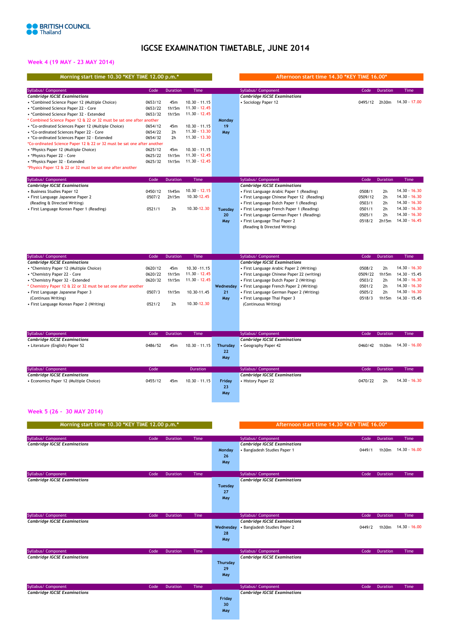# **IGCSE EXAMINATION TIMETABLE, JUNE 2014**

## **Week 4 (19 MAY - 23 MAY 2014)**

| Morning start time 10.30 *KEY TIME 12.00 p.m.*                          |                                                 |                 |                 |              | Afternoon start time 14.30 *KEY TIME 16.00*      |         |                 |                             |
|-------------------------------------------------------------------------|-------------------------------------------------|-----------------|-----------------|--------------|--------------------------------------------------|---------|-----------------|-----------------------------|
| Syllabus/ Component                                                     | Code                                            | Duration        | Time            |              | Syllabus/ Component                              | Code    | <b>Duration</b> | Time                        |
| <b>Cambridge IGCSE Examinations</b>                                     |                                                 |                 |                 |              | <b>Cambridge IGCSE Examinations</b>              |         |                 |                             |
| • *Combined Science Paper 12 (Multiple Choice)                          | 0653/12                                         | 45m             | $10.30 - 11.15$ |              | · Sociology Paper 12                             |         |                 | 0495/12 2h30m 14.30 - 17.00 |
| • *Combined Science Paper 22 - Core                                     | 0653/22                                         | 1h15m           | $11.30 - 12.45$ |              |                                                  |         |                 |                             |
| • *Combined Science Paper 32 - Extended                                 | 0653/32                                         | 1h15m           | $11.30 - 12.45$ |              |                                                  |         |                 |                             |
| * Combined Science Paper 12 & 22 or 32 must be sat one after another    |                                                 |                 |                 | Monday       |                                                  |         |                 |                             |
| • *Co-ordinated Sciences Paper 12 (Multiple Choice)                     | 0654/12                                         | 45m             | $10.30 - 11.15$ | 19           |                                                  |         |                 |                             |
| • *Co-ordinated Sciences Paper 22 - Core                                | 0654/22                                         | 2 <sub>h</sub>  | $11.30 - 13.30$ | May          |                                                  |         |                 |                             |
| • *Co-ordinated Sciences Paper 32 - Extended                            | 0654/32                                         | 2 <sub>h</sub>  | $11.30 - 13.30$ |              |                                                  |         |                 |                             |
| *Co-ordinated Science Paper 12 & 22 or 32 must be sat one after another |                                                 |                 |                 |              |                                                  |         |                 |                             |
| • *Physics Paper 12 (Multiple Choice)                                   | 0625/12                                         | 45m             | $10.30 - 11.15$ |              |                                                  |         |                 |                             |
| • *Physics Paper 22 - Core                                              | 0625/22                                         | 1h15m           | $11.30 - 12.45$ |              |                                                  |         |                 |                             |
| • *Physics Paper 32 - Extended                                          | 0625/32                                         | 1h15m           | $11.30 - 12.45$ |              |                                                  |         |                 |                             |
| *Physics Paper 12 & 22 or 32 must be sat one after another              |                                                 |                 |                 |              |                                                  |         |                 |                             |
| Syllabus/ Component                                                     | Code                                            | <b>Duration</b> | Time            |              | Syllabus/ Component                              | Code    | Duration        | <b>Time</b>                 |
| <b>Cambridge IGCSE Examinations</b>                                     |                                                 |                 |                 |              | <b>Cambridge IGCSE Examinations</b>              |         |                 |                             |
| • Business Studies Paper 12                                             | 0450/12                                         | 1h45m           | $10.30 - 12.15$ |              | · First Language Arabic Paper 1 (Reading)        | 0508/1  | 2 <sub>h</sub>  | $14.30 - 16.30$             |
| • First Language Japanese Paper 2                                       | 0507/2                                          | 2h15m           | 10.30-12.45     |              | · First Language Chinese Paper 12 (Reading)      | 0509/12 | 2 <sub>h</sub>  | 14.30 - 16.30               |
| (Reading & Directed Writing)                                            |                                                 |                 |                 |              | • First Language Dutch Paper 1 (Reading)         | 0503/1  | 2h              | 14.30 - 16.30               |
| • First Language Korean Paper 1 (Reading)                               | 0521/1                                          | 2 <sub>h</sub>  | 10.30-12.30     | Tuesday      | • First Language French Paper 1 (Reading)        | 0501/1  | 2 <sub>h</sub>  | $14.30 - 16.30$             |
|                                                                         |                                                 |                 |                 | 20           | · First Language German Paper 1 (Reading)        | 0505/1  | 2 <sub>h</sub>  | $14.30 - 16.30$             |
|                                                                         |                                                 |                 |                 | May          | • First Language Thai Paper 2                    | 0518/2  | 2h15m           | $14.30 - 16.45$             |
|                                                                         |                                                 |                 |                 |              | (Reading & Directed Writing)                     |         |                 |                             |
|                                                                         |                                                 |                 |                 |              |                                                  |         |                 |                             |
|                                                                         |                                                 |                 |                 |              |                                                  |         |                 |                             |
| Syllabus/ Component                                                     | Code                                            | Duration        | Time            |              | Syllabus/ Component                              | Code    | <b>Duration</b> | Time                        |
| <b>Cambridge IGCSE Examinations</b>                                     |                                                 |                 |                 |              | <b>Cambridge IGCSE Examinations</b>              |         |                 |                             |
| • *Chemistry Paper 12 (Multiple Choice)                                 | 0620/12                                         | 45m             | $10.30 - 11.15$ |              | • First Language Arabic Paper 2 (Writing)        | 0508/2  | 2 <sub>h</sub>  | 14.30 - 16.30               |
| • *Chemistry Paper 22 - Core                                            | 0620/22                                         | 1h15m           | $11.30 - 12.45$ |              | • First Language Chinese Paper 22 (writing)      | 0509/22 | 1h15m           | 14.30 - 15.45               |
| • *Chemistry Paper 32 - Extended                                        | 0620/32                                         | 1h15m           | $11.30 - 12.45$ |              | • First Language Dutch Paper 2 (Writing)         | 0503/2  | 2 <sub>h</sub>  | $14.30 - 16.30$             |
| * Chemistry Paper 12 & 22 or 32 must be sat one after another           |                                                 |                 |                 | Wednesday    | • First Language French Paper 2 (Writing)        | 0501/2  | 2 <sub>h</sub>  | $14.30 - 16.30$             |
| • First Language Japanese Paper 3                                       | 0507/3                                          | 1h15m           | 10.30-11.45     | 21           | · First Language German Paper 2 (Writing)        | 0505/2  | 2h              | $14.30 - 16.30$             |
| (Continuos Writing)                                                     |                                                 |                 |                 | May          | · First Language Thai Paper 3                    | 0518/3  | 1h15m           | 14.30 - 15.45               |
| • First Language Korean Paper 2 (Writing)                               | 0521/2                                          | 2h              | 10.30-12.30     |              | (Continuous Writing)                             |         |                 |                             |
|                                                                         |                                                 |                 |                 |              |                                                  |         |                 |                             |
|                                                                         |                                                 |                 |                 |              |                                                  |         |                 |                             |
| Syllabus/ Component                                                     | Code                                            | <b>Duration</b> | Time            |              | Syllabus/ Component                              | Code    | <b>Duration</b> | <b>Time</b>                 |
| <b>Cambridge IGCSE Examinations</b>                                     |                                                 |                 |                 |              | <b>Cambridge IGCSE Examinations</b>              |         |                 |                             |
| • Literature (English) Paper 52                                         | 0486/52                                         | 45m             | $10.30 - 11.15$ | Thursday     | • Geography Paper 42                             | 0460/42 | 1h30m           | $14.30 - 16.00$             |
|                                                                         |                                                 |                 |                 | 22           |                                                  |         |                 |                             |
|                                                                         |                                                 |                 |                 | May          |                                                  |         |                 |                             |
| Syllabus/ Component                                                     | Code                                            |                 | <b>Duration</b> |              | Syllabus/ Component                              | Code    | Duration        | <b>Time</b>                 |
| <b>Cambridge IGCSE Examinations</b>                                     |                                                 |                 |                 |              | <b>Cambridge IGCSE Examinations</b>              |         |                 |                             |
| • Economics Paper 12 (Multiple Choice)                                  | 0455/12                                         | 45m             | $10.30 - 11.15$ | Friday<br>23 | • History Paper 22                               | 0470/22 | 2 <sub>h</sub>  | 14.30 - 16.30               |
|                                                                         |                                                 |                 |                 | May          |                                                  |         |                 |                             |
|                                                                         |                                                 |                 |                 |              |                                                  |         |                 |                             |
| Week 5 (26 - 30 MAY 2014)                                               |                                                 |                 |                 |              |                                                  |         |                 |                             |
|                                                                         | Morning start time 10 30 *KEY TIME 12.00 p.m. * |                 |                 |              | $After no on start time 14.30 * KEV TIME 16.00*$ |         |                 |                             |

| morning start anno 19,50 km i una 12,00 p.m. |      |                 |             |                | $T1155111991195915511115111999115511111551191555$ |        |          |                     |
|----------------------------------------------|------|-----------------|-------------|----------------|---------------------------------------------------|--------|----------|---------------------|
|                                              |      |                 |             |                |                                                   |        |          |                     |
| Syllabus/ Component                          | Code | <b>Duration</b> | Time        |                | Syllabus/ Component                               | Code   | Duration | Time                |
| <b>Cambridge IGCSE Examinations</b>          |      |                 |             |                | <b>Cambridge IGCSE Examinations</b>               |        |          |                     |
|                                              |      |                 |             | Monday         | · Bangladesh Studies Paper 1                      | 0449/1 |          | 1h30m 14.30 - 16.00 |
|                                              |      |                 |             | 26             |                                                   |        |          |                     |
|                                              |      |                 |             | May            |                                                   |        |          |                     |
|                                              |      |                 |             |                |                                                   |        |          |                     |
| Syllabus/ Component                          | Code | <b>Duration</b> | Time        |                | Syllabus/ Component                               | Code   | Duration | Time                |
| <b>Cambridge IGCSE Examinations</b>          |      |                 |             |                | <b>Cambridge IGCSE Examinations</b>               |        |          |                     |
|                                              |      |                 |             | <b>Tuesday</b> |                                                   |        |          |                     |
|                                              |      |                 |             | 27             |                                                   |        |          |                     |
|                                              |      |                 |             | May            |                                                   |        |          |                     |
|                                              |      |                 |             |                |                                                   |        |          |                     |
|                                              |      |                 |             |                |                                                   |        |          |                     |
| Syllabus/ Component                          | Code | <b>Duration</b> | Tine        |                | Syllabus/ Component                               | Code   | Duration | Time                |
| <b>Cambridge IGCSE Examinations</b>          |      |                 |             |                | <b>Cambridge IGCSE Examinations</b>               |        |          |                     |
|                                              |      |                 |             | Wednesday      | • Bangladesh Studies Paper 2                      | 0449/2 | 1h30m    | 14.30 - 16.00       |
|                                              |      |                 |             | 28             |                                                   |        |          |                     |
|                                              |      |                 |             | May            |                                                   |        |          |                     |
|                                              |      |                 |             |                |                                                   |        |          |                     |
| Syllabus/ Component                          | Code | <b>Duration</b> | <b>Time</b> |                | Syllabus/ Component                               | Code   | Duration | Time                |
| <b>Cambridge IGCSE Examinations</b>          |      |                 |             |                | <b>Cambridge IGCSE Examinations</b>               |        |          |                     |
|                                              |      |                 |             | Thursday       |                                                   |        |          |                     |
|                                              |      |                 |             | 29             |                                                   |        |          |                     |
|                                              |      |                 |             | May            |                                                   |        |          |                     |
|                                              |      |                 |             |                |                                                   |        |          |                     |
| Syllabus/ Component                          | Code | <b>Duration</b> | Time        |                | Syllabus/ Component                               | Code   | Duration | Time                |
| <b>Cambridge IGCSE Examinations</b>          |      |                 |             |                | <b>Cambridge IGCSE Examinations</b>               |        |          |                     |
|                                              |      |                 |             | Friday         |                                                   |        |          |                     |
|                                              |      |                 |             | 30             |                                                   |        |          |                     |
|                                              |      |                 |             | May            |                                                   |        |          |                     |
|                                              |      |                 |             |                |                                                   |        |          |                     |
|                                              |      |                 |             |                |                                                   |        |          |                     |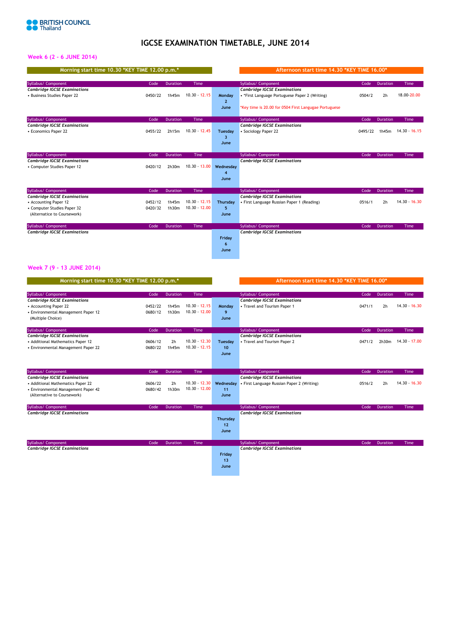

# **IGCSE EXAMINATION TIMETABLE, JUNE 2014**

## **Week 6 (2 - 6 JUNE 2014)**

| Morning start time 10.30 *KEY TIME 12.00 p.m.* |         |                 |                 |                | Afternoon start time 14.30 *KEY TIME 16.00*           |         |                 |                 |
|------------------------------------------------|---------|-----------------|-----------------|----------------|-------------------------------------------------------|---------|-----------------|-----------------|
| Syllabus/ Component                            | Code    | <b>Duration</b> | Time            |                | Syllabus/ Component                                   | Code    | Duration        | Time            |
| <b>Cambridge IGCSE Examinations</b>            |         |                 |                 |                | <b>Cambridge IGCSE Examinations</b>                   |         |                 |                 |
| • Business Studies Paper 22                    | 0450/22 | 1h45m           | $10.30 - 12.15$ | Monday         | • *First Language Portuguese Paper 2 (Writing)        | 0504/2  | 2 <sub>h</sub>  | 18.00-20.00     |
|                                                |         |                 |                 | $\overline{2}$ |                                                       |         |                 |                 |
|                                                |         |                 |                 | June           | *Key time is 20.00 for 0504 First Langugae Portuguese |         |                 |                 |
| Syllabus/ Component                            | Code    | <b>Duration</b> | <b>Time</b>     |                | Syllabus/ Component                                   | Code    | Duration        | Time            |
| <b>Cambridge IGCSE Examinations</b>            |         |                 |                 |                | <b>Cambridge IGCSE Examinations</b>                   |         |                 |                 |
| • Economics Paper 22                           | 0455/22 | 2h15m           | $10.30 - 12.45$ | Tuesday        | • Sociology Paper 22                                  | 0495/22 | 1h45m           | $14.30 - 16.15$ |
|                                                |         |                 |                 | 3              |                                                       |         |                 |                 |
|                                                |         |                 |                 | June           |                                                       |         |                 |                 |
| Syllabus/ Component                            | Code    | <b>Duration</b> | <b>Tine</b>     |                | Syllabus/ Component                                   | Code    | <b>Duration</b> | Time            |
| <b>Cambridge IGCSE Examinations</b>            |         |                 |                 |                | <b>Cambridge IGCSE Examinations</b>                   |         |                 |                 |
| • Computer Studies Paper 12                    | 0420/12 | 2h30m           | $10.30 - 13.00$ | Wednesdav      |                                                       |         |                 |                 |
|                                                |         |                 |                 |                |                                                       |         |                 |                 |
|                                                |         |                 |                 | June           |                                                       |         |                 |                 |
| Syllabus/ Component                            | Code    | <b>Duration</b> | <b>Time</b>     |                | Syllabus/ Component                                   | Code    | <b>Duration</b> | Time            |
| <b>Cambridge IGCSE Examinations</b>            |         |                 |                 |                | <b>Cambridge IGCSE Examinations</b>                   |         |                 |                 |
| • Accounting Paper 12                          | 0452/12 | 1h45m           | $10.30 - 12.15$ | Thursdav       | • First Language Russian Paper 1 (Reading)            | 0516/1  | 2 <sub>h</sub>  | 14.30 - 16.30   |
| • Computer Studies Paper 32                    | 0420/32 | 1h30m           | $10.30 - 12.00$ | 5              |                                                       |         |                 |                 |
| (Alternatice to Coursework)                    |         |                 |                 | June           |                                                       |         |                 |                 |
| Syllabus/ Component                            | Code    | Duration        | Time            |                | Syllabus/ Component                                   | Code    | Duration        | Time            |
| <b>Cambridge IGCSE Examinations</b>            |         |                 |                 |                | <b>Cambridge IGCSE Examinations</b>                   |         |                 |                 |
|                                                |         |                 |                 | Friday         |                                                       |         |                 |                 |
|                                                |         |                 |                 | 6              |                                                       |         |                 |                 |
|                                                |         |                 |                 | June           |                                                       |         |                 |                 |
|                                                |         |                 |                 |                |                                                       |         |                 |                 |

## **Week 7 (9 - 13 JUNE 2014)**

| Morning start time 10.30 *KEY TIME 12.00 p.m.* |         |                 |                 |           | Afternoon start time 14.30 *KEY TIME 16.00* |        |                 |                 |
|------------------------------------------------|---------|-----------------|-----------------|-----------|---------------------------------------------|--------|-----------------|-----------------|
| Syllabus/ Component                            | Code    | <b>Duration</b> | Time            |           | Syllabus/ Component                         | Code   | <b>Duration</b> | Time            |
| <b>Cambridge IGCSE Examinations</b>            |         |                 |                 |           | <b>Cambridge IGCSE Examinations</b>         |        |                 |                 |
| • Accounting Paper 22                          | 0452/22 | 1h45m           | $10.30 - 12.15$ | Monday    | • Travel and Tourism Paper 1                | 0471/1 | 2 <sub>h</sub>  | $14.30 - 16.30$ |
| • Environmental Management Paper 12            | 0680/12 | 1h30m           | $10.30 - 12.00$ | 9         |                                             |        |                 |                 |
| (Multiple Choice)                              |         |                 |                 | June      |                                             |        |                 |                 |
| Syllabus/ Component                            | Code    | <b>Duration</b> | Time            |           | Syllabus/ Component                         | Code   | <b>Duration</b> | Time            |
| <b>Cambridge IGCSE Examinations</b>            |         |                 |                 |           | <b>Cambridge IGCSE Examinations</b>         |        |                 |                 |
| • Additional Mathematics Paper 12              | 0606/12 | 2 <sub>h</sub>  | $10.30 - 12.30$ | Tuesday   | • Travel and Tourism Paper 2                | 0471/2 | 2h30m           | 14.30 - 17.00   |
| • Environmental Management Paper 22            | 0680/22 | 1h45m           | $10.30 - 12.15$ | 10        |                                             |        |                 |                 |
|                                                |         |                 |                 | June      |                                             |        |                 |                 |
|                                                |         |                 |                 |           |                                             |        |                 |                 |
| Syllabus/ Component                            | Code    | <b>Duration</b> | <b>Tine</b>     |           | Syllabus/ Component                         | Code   | <b>Duration</b> | Time            |
| <b>Cambridge IGCSE Examinations</b>            |         |                 |                 |           | <b>Cambridge IGCSE Examinations</b>         |        |                 |                 |
| • Additional Mathematics Paper 22              | 0606/22 | 2 <sub>h</sub>  | $10.30 - 12.30$ | Wednesdav | • First Language Russian Paper 2 (Writing)  | 0516/2 | 2 <sub>h</sub>  | $14.30 - 16.30$ |
| • Environmental Management Paper 42            | 0680/42 | 1h30m           | $10.30 - 12.00$ | 11        |                                             |        |                 |                 |
| (Alternative to Coursework)                    |         |                 |                 | June      |                                             |        |                 |                 |
| Syllabus/ Component                            | Code    | <b>Duration</b> | Time            |           | Syllabus/ Component                         | Code   | <b>Duration</b> | Time            |
| <b>Cambridge IGCSE Examinations</b>            |         |                 |                 |           | <b>Cambridge IGCSE Examinations</b>         |        |                 |                 |
|                                                |         |                 |                 | Thursday  |                                             |        |                 |                 |
|                                                |         |                 |                 | 12        |                                             |        |                 |                 |
|                                                |         |                 |                 | June      |                                             |        |                 |                 |
| Syllabus/ Component                            | Code    | <b>Duration</b> | Time            |           | Syllabus/ Component                         | Code   | <b>Duration</b> | Time            |
| <b>Cambridge IGCSE Examinations</b>            |         |                 |                 |           | <b>Cambridge IGCSE Examinations</b>         |        |                 |                 |
|                                                |         |                 |                 | Friday    |                                             |        |                 |                 |
|                                                |         |                 |                 | 13        |                                             |        |                 |                 |
|                                                |         |                 |                 | June      |                                             |        |                 |                 |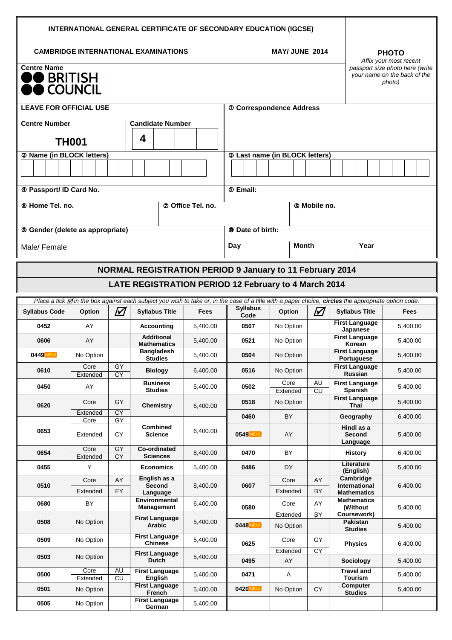| <b>CAMBRIDGE INTERNATIONAL EXAMINATIONS</b><br><b>MAY/ JUNE 2014</b><br><b>PHOTO</b><br>Affix your most recent<br><b>Centre Name</b><br>passport size photo here (write<br>your name on the back of the<br>$\bullet$ BRITISH<br>photo)<br><b>COUNCIL</b><br><b>LEAVE FOR OFFICIAL USE</b><br><b>10 Correspondence Address</b><br><b>Centre Number</b><br><b>Candidate Number</b><br>4<br><b>TH001</b><br>2 Name (in BLOCK letters)<br><b>3 Last name (in BLOCK letters)</b><br>4 Passport/ ID Card No.<br><b>5 Email:</b><br>© Home Tel. no.<br><b>2 Office Tel. no.</b><br>® Mobile no.<br><b>9 Gender (delete as appropriate)</b><br><b><sup>®</sup></b> Date of birth:<br><b>Month</b><br>Year<br>Day<br>Male/Female<br><b>NORMAL REGISTRATION PERIOD 9 January to 11 February 2014</b><br><b>LATE REGISTRATION PERIOD 12 February to 4 March 2014</b><br>Place a tick <b>M</b> in the box against each subject you wish to take or, in the case of a title with a paper choice, circles the appropriate option code.<br><b>Syllabus</b><br>M<br>M<br><b>Syllabus Title</b><br><b>Syllabus Code</b><br>Option<br><b>Syllabus Title</b><br>Option<br><b>Fees</b><br><b>Fees</b><br>Code<br><b>First Language</b><br>0452<br>AY<br><b>Accounting</b><br>0507<br>No Option<br>5,400.00<br>5,400.00<br>Japanese<br><b>Additional</b><br><b>First Language</b><br>AY<br>0606<br>5,400.00<br>0521<br>No Option<br>5,400.00<br><b>Mathematics</b><br>Korean<br><b>First Language</b><br><b>Bangladesh</b><br>0504<br><b>0449NEU</b><br>No Option<br>No Option<br>5,400.00<br>5,400.00<br><b>Studies</b><br><b>Portuguese</b><br><b>First Language</b><br>Core<br>GY<br>0610<br>0516<br><b>Biology</b><br>6,400.00<br>No Option<br>5,400.00<br>Russian<br><b>CY</b><br>Extended<br><b>Business</b><br>Core<br>AU<br><b>First Language</b><br>0450<br>AY<br>0502<br>5,400.00<br>5,400.00<br><b>Studies</b><br>Spanish<br>$\overline{c}$<br>Extended<br><b>First Language</b><br>GY<br>0518<br>Core<br>No Option<br>5,400.00<br>0620<br><b>Chemistry</b><br>6,400.00<br>Thai<br>CY<br>Extended<br>0460<br>BY<br>Geography<br>6,400.00<br>GY<br>Core<br><b>Combined</b><br>Hindi as a<br>0653<br>6,400.00<br>СY<br><b>Science</b><br>0549NEW<br>AY<br>Second<br>Extended<br>5,400.00<br>Language<br>Core<br>GY<br><b>Co-ordinated</b><br>0654<br>8,400.00<br><b>BY</b><br>0470<br>6,400.00<br><b>History</b><br><b>CY</b><br><b>Sciences</b><br>Extended<br>Literature<br>0455<br>Υ<br><b>Economics</b><br>0486<br>DY.<br>5,400.00<br>5,400.00<br>(English)<br>Cambridge<br>English as a<br>AY<br>Core<br>Core<br>AY<br>0510<br>Second<br>0607<br>International<br>6,400.00<br>8,400.00<br>Extended<br>EY<br>Extended<br>BY<br><b>Mathematics</b><br>Language<br>Environmental<br><b>Mathematics</b><br>0680<br>BY<br>6,400.00<br>Core<br>AY<br>0580<br>(Without<br><b>Management</b><br>5,400.00<br>Coursework)<br>Extended<br>BY | <b>INTERNATIONAL GENERAL CERTIFICATE OF SECONDARY EDUCATION (IGCSE)</b> |  |  |                       |  |  |  |  |  |  |  |
|----------------------------------------------------------------------------------------------------------------------------------------------------------------------------------------------------------------------------------------------------------------------------------------------------------------------------------------------------------------------------------------------------------------------------------------------------------------------------------------------------------------------------------------------------------------------------------------------------------------------------------------------------------------------------------------------------------------------------------------------------------------------------------------------------------------------------------------------------------------------------------------------------------------------------------------------------------------------------------------------------------------------------------------------------------------------------------------------------------------------------------------------------------------------------------------------------------------------------------------------------------------------------------------------------------------------------------------------------------------------------------------------------------------------------------------------------------------------------------------------------------------------------------------------------------------------------------------------------------------------------------------------------------------------------------------------------------------------------------------------------------------------------------------------------------------------------------------------------------------------------------------------------------------------------------------------------------------------------------------------------------------------------------------------------------------------------------------------------------------------------------------------------------------------------------------------------------------------------------------------------------------------------------------------------------------------------------------------------------------------------------------------------------------------------------------------------------------------------------------------------------------------------------------------------------------------------------------------------------------------------------------------------------------------------------------------------------------------------------------------------------------------------------------------------------------------------------------------------------------------------------------------------------------------------|-------------------------------------------------------------------------|--|--|-----------------------|--|--|--|--|--|--|--|
|                                                                                                                                                                                                                                                                                                                                                                                                                                                                                                                                                                                                                                                                                                                                                                                                                                                                                                                                                                                                                                                                                                                                                                                                                                                                                                                                                                                                                                                                                                                                                                                                                                                                                                                                                                                                                                                                                                                                                                                                                                                                                                                                                                                                                                                                                                                                                                                                                                                                                                                                                                                                                                                                                                                                                                                                                                                                                                                            |                                                                         |  |  |                       |  |  |  |  |  |  |  |
|                                                                                                                                                                                                                                                                                                                                                                                                                                                                                                                                                                                                                                                                                                                                                                                                                                                                                                                                                                                                                                                                                                                                                                                                                                                                                                                                                                                                                                                                                                                                                                                                                                                                                                                                                                                                                                                                                                                                                                                                                                                                                                                                                                                                                                                                                                                                                                                                                                                                                                                                                                                                                                                                                                                                                                                                                                                                                                                            |                                                                         |  |  |                       |  |  |  |  |  |  |  |
|                                                                                                                                                                                                                                                                                                                                                                                                                                                                                                                                                                                                                                                                                                                                                                                                                                                                                                                                                                                                                                                                                                                                                                                                                                                                                                                                                                                                                                                                                                                                                                                                                                                                                                                                                                                                                                                                                                                                                                                                                                                                                                                                                                                                                                                                                                                                                                                                                                                                                                                                                                                                                                                                                                                                                                                                                                                                                                                            |                                                                         |  |  |                       |  |  |  |  |  |  |  |
|                                                                                                                                                                                                                                                                                                                                                                                                                                                                                                                                                                                                                                                                                                                                                                                                                                                                                                                                                                                                                                                                                                                                                                                                                                                                                                                                                                                                                                                                                                                                                                                                                                                                                                                                                                                                                                                                                                                                                                                                                                                                                                                                                                                                                                                                                                                                                                                                                                                                                                                                                                                                                                                                                                                                                                                                                                                                                                                            |                                                                         |  |  |                       |  |  |  |  |  |  |  |
|                                                                                                                                                                                                                                                                                                                                                                                                                                                                                                                                                                                                                                                                                                                                                                                                                                                                                                                                                                                                                                                                                                                                                                                                                                                                                                                                                                                                                                                                                                                                                                                                                                                                                                                                                                                                                                                                                                                                                                                                                                                                                                                                                                                                                                                                                                                                                                                                                                                                                                                                                                                                                                                                                                                                                                                                                                                                                                                            |                                                                         |  |  |                       |  |  |  |  |  |  |  |
|                                                                                                                                                                                                                                                                                                                                                                                                                                                                                                                                                                                                                                                                                                                                                                                                                                                                                                                                                                                                                                                                                                                                                                                                                                                                                                                                                                                                                                                                                                                                                                                                                                                                                                                                                                                                                                                                                                                                                                                                                                                                                                                                                                                                                                                                                                                                                                                                                                                                                                                                                                                                                                                                                                                                                                                                                                                                                                                            |                                                                         |  |  |                       |  |  |  |  |  |  |  |
|                                                                                                                                                                                                                                                                                                                                                                                                                                                                                                                                                                                                                                                                                                                                                                                                                                                                                                                                                                                                                                                                                                                                                                                                                                                                                                                                                                                                                                                                                                                                                                                                                                                                                                                                                                                                                                                                                                                                                                                                                                                                                                                                                                                                                                                                                                                                                                                                                                                                                                                                                                                                                                                                                                                                                                                                                                                                                                                            |                                                                         |  |  |                       |  |  |  |  |  |  |  |
|                                                                                                                                                                                                                                                                                                                                                                                                                                                                                                                                                                                                                                                                                                                                                                                                                                                                                                                                                                                                                                                                                                                                                                                                                                                                                                                                                                                                                                                                                                                                                                                                                                                                                                                                                                                                                                                                                                                                                                                                                                                                                                                                                                                                                                                                                                                                                                                                                                                                                                                                                                                                                                                                                                                                                                                                                                                                                                                            |                                                                         |  |  |                       |  |  |  |  |  |  |  |
|                                                                                                                                                                                                                                                                                                                                                                                                                                                                                                                                                                                                                                                                                                                                                                                                                                                                                                                                                                                                                                                                                                                                                                                                                                                                                                                                                                                                                                                                                                                                                                                                                                                                                                                                                                                                                                                                                                                                                                                                                                                                                                                                                                                                                                                                                                                                                                                                                                                                                                                                                                                                                                                                                                                                                                                                                                                                                                                            |                                                                         |  |  |                       |  |  |  |  |  |  |  |
|                                                                                                                                                                                                                                                                                                                                                                                                                                                                                                                                                                                                                                                                                                                                                                                                                                                                                                                                                                                                                                                                                                                                                                                                                                                                                                                                                                                                                                                                                                                                                                                                                                                                                                                                                                                                                                                                                                                                                                                                                                                                                                                                                                                                                                                                                                                                                                                                                                                                                                                                                                                                                                                                                                                                                                                                                                                                                                                            |                                                                         |  |  |                       |  |  |  |  |  |  |  |
|                                                                                                                                                                                                                                                                                                                                                                                                                                                                                                                                                                                                                                                                                                                                                                                                                                                                                                                                                                                                                                                                                                                                                                                                                                                                                                                                                                                                                                                                                                                                                                                                                                                                                                                                                                                                                                                                                                                                                                                                                                                                                                                                                                                                                                                                                                                                                                                                                                                                                                                                                                                                                                                                                                                                                                                                                                                                                                                            |                                                                         |  |  |                       |  |  |  |  |  |  |  |
|                                                                                                                                                                                                                                                                                                                                                                                                                                                                                                                                                                                                                                                                                                                                                                                                                                                                                                                                                                                                                                                                                                                                                                                                                                                                                                                                                                                                                                                                                                                                                                                                                                                                                                                                                                                                                                                                                                                                                                                                                                                                                                                                                                                                                                                                                                                                                                                                                                                                                                                                                                                                                                                                                                                                                                                                                                                                                                                            |                                                                         |  |  |                       |  |  |  |  |  |  |  |
|                                                                                                                                                                                                                                                                                                                                                                                                                                                                                                                                                                                                                                                                                                                                                                                                                                                                                                                                                                                                                                                                                                                                                                                                                                                                                                                                                                                                                                                                                                                                                                                                                                                                                                                                                                                                                                                                                                                                                                                                                                                                                                                                                                                                                                                                                                                                                                                                                                                                                                                                                                                                                                                                                                                                                                                                                                                                                                                            |                                                                         |  |  |                       |  |  |  |  |  |  |  |
|                                                                                                                                                                                                                                                                                                                                                                                                                                                                                                                                                                                                                                                                                                                                                                                                                                                                                                                                                                                                                                                                                                                                                                                                                                                                                                                                                                                                                                                                                                                                                                                                                                                                                                                                                                                                                                                                                                                                                                                                                                                                                                                                                                                                                                                                                                                                                                                                                                                                                                                                                                                                                                                                                                                                                                                                                                                                                                                            |                                                                         |  |  |                       |  |  |  |  |  |  |  |
|                                                                                                                                                                                                                                                                                                                                                                                                                                                                                                                                                                                                                                                                                                                                                                                                                                                                                                                                                                                                                                                                                                                                                                                                                                                                                                                                                                                                                                                                                                                                                                                                                                                                                                                                                                                                                                                                                                                                                                                                                                                                                                                                                                                                                                                                                                                                                                                                                                                                                                                                                                                                                                                                                                                                                                                                                                                                                                                            |                                                                         |  |  |                       |  |  |  |  |  |  |  |
|                                                                                                                                                                                                                                                                                                                                                                                                                                                                                                                                                                                                                                                                                                                                                                                                                                                                                                                                                                                                                                                                                                                                                                                                                                                                                                                                                                                                                                                                                                                                                                                                                                                                                                                                                                                                                                                                                                                                                                                                                                                                                                                                                                                                                                                                                                                                                                                                                                                                                                                                                                                                                                                                                                                                                                                                                                                                                                                            |                                                                         |  |  |                       |  |  |  |  |  |  |  |
|                                                                                                                                                                                                                                                                                                                                                                                                                                                                                                                                                                                                                                                                                                                                                                                                                                                                                                                                                                                                                                                                                                                                                                                                                                                                                                                                                                                                                                                                                                                                                                                                                                                                                                                                                                                                                                                                                                                                                                                                                                                                                                                                                                                                                                                                                                                                                                                                                                                                                                                                                                                                                                                                                                                                                                                                                                                                                                                            |                                                                         |  |  |                       |  |  |  |  |  |  |  |
|                                                                                                                                                                                                                                                                                                                                                                                                                                                                                                                                                                                                                                                                                                                                                                                                                                                                                                                                                                                                                                                                                                                                                                                                                                                                                                                                                                                                                                                                                                                                                                                                                                                                                                                                                                                                                                                                                                                                                                                                                                                                                                                                                                                                                                                                                                                                                                                                                                                                                                                                                                                                                                                                                                                                                                                                                                                                                                                            |                                                                         |  |  |                       |  |  |  |  |  |  |  |
|                                                                                                                                                                                                                                                                                                                                                                                                                                                                                                                                                                                                                                                                                                                                                                                                                                                                                                                                                                                                                                                                                                                                                                                                                                                                                                                                                                                                                                                                                                                                                                                                                                                                                                                                                                                                                                                                                                                                                                                                                                                                                                                                                                                                                                                                                                                                                                                                                                                                                                                                                                                                                                                                                                                                                                                                                                                                                                                            |                                                                         |  |  |                       |  |  |  |  |  |  |  |
|                                                                                                                                                                                                                                                                                                                                                                                                                                                                                                                                                                                                                                                                                                                                                                                                                                                                                                                                                                                                                                                                                                                                                                                                                                                                                                                                                                                                                                                                                                                                                                                                                                                                                                                                                                                                                                                                                                                                                                                                                                                                                                                                                                                                                                                                                                                                                                                                                                                                                                                                                                                                                                                                                                                                                                                                                                                                                                                            |                                                                         |  |  |                       |  |  |  |  |  |  |  |
|                                                                                                                                                                                                                                                                                                                                                                                                                                                                                                                                                                                                                                                                                                                                                                                                                                                                                                                                                                                                                                                                                                                                                                                                                                                                                                                                                                                                                                                                                                                                                                                                                                                                                                                                                                                                                                                                                                                                                                                                                                                                                                                                                                                                                                                                                                                                                                                                                                                                                                                                                                                                                                                                                                                                                                                                                                                                                                                            |                                                                         |  |  |                       |  |  |  |  |  |  |  |
|                                                                                                                                                                                                                                                                                                                                                                                                                                                                                                                                                                                                                                                                                                                                                                                                                                                                                                                                                                                                                                                                                                                                                                                                                                                                                                                                                                                                                                                                                                                                                                                                                                                                                                                                                                                                                                                                                                                                                                                                                                                                                                                                                                                                                                                                                                                                                                                                                                                                                                                                                                                                                                                                                                                                                                                                                                                                                                                            |                                                                         |  |  |                       |  |  |  |  |  |  |  |
|                                                                                                                                                                                                                                                                                                                                                                                                                                                                                                                                                                                                                                                                                                                                                                                                                                                                                                                                                                                                                                                                                                                                                                                                                                                                                                                                                                                                                                                                                                                                                                                                                                                                                                                                                                                                                                                                                                                                                                                                                                                                                                                                                                                                                                                                                                                                                                                                                                                                                                                                                                                                                                                                                                                                                                                                                                                                                                                            |                                                                         |  |  |                       |  |  |  |  |  |  |  |
|                                                                                                                                                                                                                                                                                                                                                                                                                                                                                                                                                                                                                                                                                                                                                                                                                                                                                                                                                                                                                                                                                                                                                                                                                                                                                                                                                                                                                                                                                                                                                                                                                                                                                                                                                                                                                                                                                                                                                                                                                                                                                                                                                                                                                                                                                                                                                                                                                                                                                                                                                                                                                                                                                                                                                                                                                                                                                                                            |                                                                         |  |  |                       |  |  |  |  |  |  |  |
|                                                                                                                                                                                                                                                                                                                                                                                                                                                                                                                                                                                                                                                                                                                                                                                                                                                                                                                                                                                                                                                                                                                                                                                                                                                                                                                                                                                                                                                                                                                                                                                                                                                                                                                                                                                                                                                                                                                                                                                                                                                                                                                                                                                                                                                                                                                                                                                                                                                                                                                                                                                                                                                                                                                                                                                                                                                                                                                            |                                                                         |  |  |                       |  |  |  |  |  |  |  |
|                                                                                                                                                                                                                                                                                                                                                                                                                                                                                                                                                                                                                                                                                                                                                                                                                                                                                                                                                                                                                                                                                                                                                                                                                                                                                                                                                                                                                                                                                                                                                                                                                                                                                                                                                                                                                                                                                                                                                                                                                                                                                                                                                                                                                                                                                                                                                                                                                                                                                                                                                                                                                                                                                                                                                                                                                                                                                                                            |                                                                         |  |  |                       |  |  |  |  |  |  |  |
|                                                                                                                                                                                                                                                                                                                                                                                                                                                                                                                                                                                                                                                                                                                                                                                                                                                                                                                                                                                                                                                                                                                                                                                                                                                                                                                                                                                                                                                                                                                                                                                                                                                                                                                                                                                                                                                                                                                                                                                                                                                                                                                                                                                                                                                                                                                                                                                                                                                                                                                                                                                                                                                                                                                                                                                                                                                                                                                            |                                                                         |  |  |                       |  |  |  |  |  |  |  |
| 0508<br>No Option<br>5,400.00<br>Pakistan<br>Arabic<br>0448 NEW<br>No Option<br>5,400.00<br><b>Studies</b>                                                                                                                                                                                                                                                                                                                                                                                                                                                                                                                                                                                                                                                                                                                                                                                                                                                                                                                                                                                                                                                                                                                                                                                                                                                                                                                                                                                                                                                                                                                                                                                                                                                                                                                                                                                                                                                                                                                                                                                                                                                                                                                                                                                                                                                                                                                                                                                                                                                                                                                                                                                                                                                                                                                                                                                                                 |                                                                         |  |  | <b>First Language</b> |  |  |  |  |  |  |  |
| <b>First Language</b><br>0509<br>No Option<br>5,400.00<br>Core<br>GY<br>Chinese<br>0625<br><b>Physics</b><br>6,400.00                                                                                                                                                                                                                                                                                                                                                                                                                                                                                                                                                                                                                                                                                                                                                                                                                                                                                                                                                                                                                                                                                                                                                                                                                                                                                                                                                                                                                                                                                                                                                                                                                                                                                                                                                                                                                                                                                                                                                                                                                                                                                                                                                                                                                                                                                                                                                                                                                                                                                                                                                                                                                                                                                                                                                                                                      |                                                                         |  |  |                       |  |  |  |  |  |  |  |
| CY<br>Extended<br>First Language<br>0503<br>No Option<br>5,400.00<br>Dutch<br>0495<br>AY<br>Sociology<br>5,400.00                                                                                                                                                                                                                                                                                                                                                                                                                                                                                                                                                                                                                                                                                                                                                                                                                                                                                                                                                                                                                                                                                                                                                                                                                                                                                                                                                                                                                                                                                                                                                                                                                                                                                                                                                                                                                                                                                                                                                                                                                                                                                                                                                                                                                                                                                                                                                                                                                                                                                                                                                                                                                                                                                                                                                                                                          |                                                                         |  |  |                       |  |  |  |  |  |  |  |
| AU<br><b>Travel and</b><br>Core<br><b>First Language</b><br>0500<br>0471<br>5,400.00<br>A<br>5,400.00<br>$\overline{C}$<br><b>Tourism</b><br>English<br>Extended                                                                                                                                                                                                                                                                                                                                                                                                                                                                                                                                                                                                                                                                                                                                                                                                                                                                                                                                                                                                                                                                                                                                                                                                                                                                                                                                                                                                                                                                                                                                                                                                                                                                                                                                                                                                                                                                                                                                                                                                                                                                                                                                                                                                                                                                                                                                                                                                                                                                                                                                                                                                                                                                                                                                                           |                                                                         |  |  |                       |  |  |  |  |  |  |  |
| Computer<br><b>First Language</b><br>0501<br><b>CY</b><br>No Option<br>5,400.00<br>$0420$ NEW<br>No Option<br>5,400.00<br>French<br><b>Studies</b>                                                                                                                                                                                                                                                                                                                                                                                                                                                                                                                                                                                                                                                                                                                                                                                                                                                                                                                                                                                                                                                                                                                                                                                                                                                                                                                                                                                                                                                                                                                                                                                                                                                                                                                                                                                                                                                                                                                                                                                                                                                                                                                                                                                                                                                                                                                                                                                                                                                                                                                                                                                                                                                                                                                                                                         |                                                                         |  |  |                       |  |  |  |  |  |  |  |
| <b>First Language</b><br>0505<br>No Option<br>5,400.00<br>German                                                                                                                                                                                                                                                                                                                                                                                                                                                                                                                                                                                                                                                                                                                                                                                                                                                                                                                                                                                                                                                                                                                                                                                                                                                                                                                                                                                                                                                                                                                                                                                                                                                                                                                                                                                                                                                                                                                                                                                                                                                                                                                                                                                                                                                                                                                                                                                                                                                                                                                                                                                                                                                                                                                                                                                                                                                           |                                                                         |  |  |                       |  |  |  |  |  |  |  |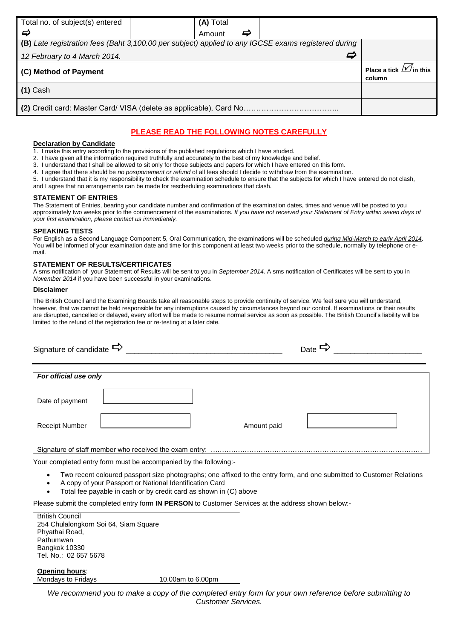| Total no. of subject(s) entered                                                                     | (A) Total |   |   |                                              |  |
|-----------------------------------------------------------------------------------------------------|-----------|---|---|----------------------------------------------|--|
| ⇨                                                                                                   | Amount    | ⇨ |   |                                              |  |
| (B) Late registration fees (Baht 3,100.00 per subject) applied to any IGCSE exams registered during |           |   |   |                                              |  |
| 12 February to 4 March 2014.                                                                        |           |   | 5 |                                              |  |
| (C) Method of Payment                                                                               |           |   |   | Place a tick $\mathcal{W}$ in this<br>column |  |
| $(1)$ Cash                                                                                          |           |   |   |                                              |  |
|                                                                                                     |           |   |   |                                              |  |
|                                                                                                     |           |   |   |                                              |  |

## **PLEASE READ THE FOLLOWING NOTES CAREFULLY**

#### **Declaration by Candidate**

- 1. I make this entry according to the provisions of the published regulations which I have studied.
- 2. I have given all the information required truthfully and accurately to the best of my knowledge and belief.
- 3. I understand that I shall be allowed to sit only for those subjects and papers for which I have entered on this form.
- 4. I agree that there should be *no postponement or refund* of all fees should I decide to withdraw from the examination.
- 5. I understand that it is my responsibility to check the examination schedule to ensure that the subjects for which I have entered do not clash,
- and I agree that no arrangements can be made for rescheduling examinations that clash.

## **STATEMENT OF ENTRIES**

The Statement of Entries, bearing your candidate number and confirmation of the examination dates, times and venue will be posted to you approximately two weeks prior to the commencement of the examinations. *If you have not received your Statement of Entry within seven days of your first examination, please contact us immediately.*

#### **SPEAKING TESTS**

For English as a Second Language Component 5, Oral Communication, the examinations will be scheduled *during Mid-March to early April 2014*. You will be informed of your examination date and time for this component at least two weeks prior to the schedule, normally by telephone or email.

## **STATEMENT OF RESULTS/CERTIFICATES**

A sms notification of your Statement of Results will be sent to you in *September 2014*. A sms notification of Certificates will be sent to you in *November 2014* if you have been successful in your examinations.

## **Disclaimer**

The British Council and the Examining Boards take all reasonable steps to provide continuity of service. We feel sure you will understand, however, that we cannot be held responsible for any interruptions caused by circumstances beyond our control. If examinations or their results are disrupted, cancelled or delayed, every effort will be made to resume normal service as soon as possible. The British Council's liability will be limited to the refund of the registration fee or re-testing at a later date.

| Signature of candidate $\Rightarrow$ |             | Date $\Rightarrow$ |
|--------------------------------------|-------------|--------------------|
| For official use only                |             |                    |
| Date of payment                      |             |                    |
| <b>Receipt Number</b>                | Amount paid |                    |
|                                      |             |                    |

Your completed entry form must be accompanied by the following:-

- Two recent coloured passport size photographs; one affixed to the entry form, and one submitted to Customer Relations
- A copy of your Passport or National Identification Card
- Total fee payable in cash or by credit card as shown in (C) above

Please submit the completed entry form **IN PERSON** to Customer Services at the address shown below:-

| <b>British Council</b>                |                   |
|---------------------------------------|-------------------|
| 254 Chulalongkorn Soi 64, Siam Square |                   |
| Phyathai Road,                        |                   |
| Pathumwan                             |                   |
| Bangkok 10330                         |                   |
| Tel. No.: 02 657 5678                 |                   |
|                                       |                   |
| <b>Opening hours:</b>                 |                   |
| Mondays to Fridays                    | 10.00am to 6.00pm |

*We recommend you to make a copy of the completed entry form for your own reference before submitting to Customer Services.*